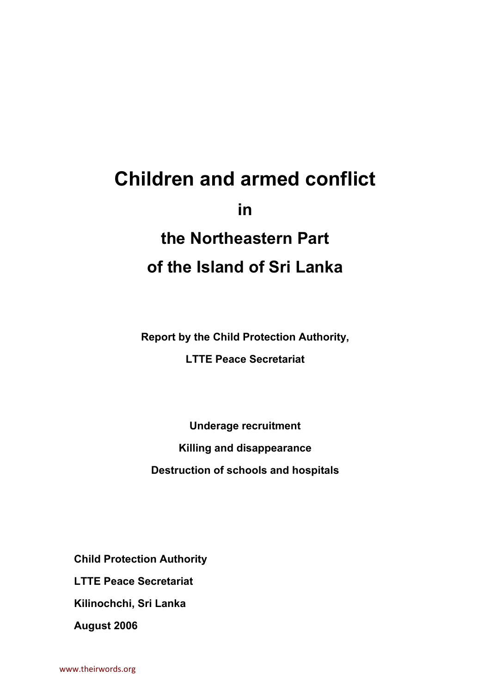## **Children and armed conflict in the Northeastern Part of the Island of Sri Lanka**

**Report by the Child Protection Authority,** 

**LTTE Peace Secretariat** 

**Underage recruitment Killing and disappearance Destruction of schools and hospitals** 

**Child Protection Authority** 

**LTTE Peace Secretariat** 

**Kilinochchi, Sri Lanka** 

**August 2006**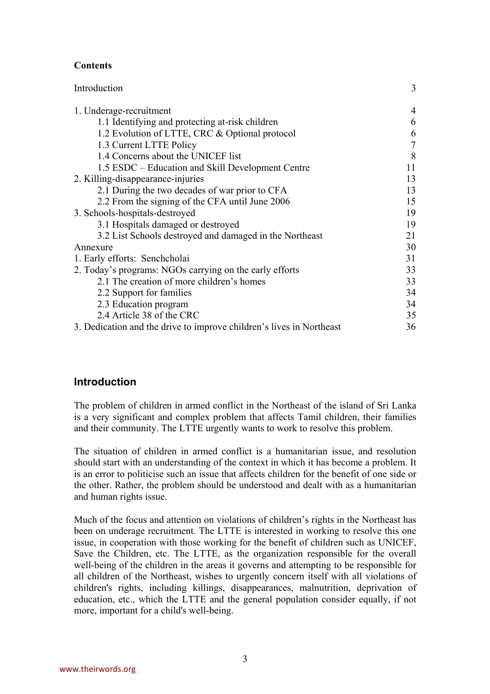#### **Contents**

| Introduction                                                         | 3  |
|----------------------------------------------------------------------|----|
| 1. Underage-recruitment                                              | 4  |
| 1.1 Identifying and protecting at-risk children                      | 6  |
| 1.2 Evolution of LTTE, CRC & Optional protocol                       | 6  |
| 1.3 Current LTTE Policy                                              | 7  |
| 1.4 Concerns about the UNICEF list                                   | 8  |
| 1.5 ESDC – Education and Skill Development Centre                    | 11 |
| 2. Killing-disappearance-injuries                                    | 13 |
| 2.1 During the two decades of war prior to CFA                       | 13 |
| 2.2 From the signing of the CFA until June 2006                      | 15 |
| 3. Schools-hospitals-destroyed                                       | 19 |
| 3.1 Hospitals damaged or destroyed                                   | 19 |
| 3.2 List Schools destroyed and damaged in the Northeast              | 21 |
| Annexure                                                             | 30 |
| 1. Early efforts: Senchcholai                                        | 31 |
| 2. Today's programs: NGOs carrying on the early efforts              | 33 |
| 2.1 The creation of more children's homes                            | 33 |
| 2.2 Support for families                                             | 34 |
| 2.3 Education program                                                | 34 |
| 2.4 Article 38 of the CRC                                            | 35 |
| 3. Dedication and the drive to improve children's lives in Northeast | 36 |

#### **Introduction**

The problem of children in armed conflict in the Northeast of the island of Sri Lanka is a very significant and complex problem that affects Tamil children, their families and their community. The LTTE urgently wants to work to resolve this problem.

The situation of children in armed conflict is a humanitarian issue, and resolution should start with an understanding of the context in which it has become a problem. It is an error to politicise such an issue that affects children for the benefit of one side or the other. Rather, the problem should be understood and dealt with as a humanitarian and human rights issue.

Much of the focus and attention on violations of children's rights in the Northeast has been on underage recruitment. The LTTE is interested in working to resolve this one issue, in cooperation with those working for the benefit of children such as UNICEF, Save the Children, etc. The LTTE, as the organization responsible for the overall well-being of the children in the areas it governs and attempting to be responsible for all children of the Northeast, wishes to urgently concern itself with all violations of children's rights, including killings, disappearances, malnutrition, deprivation of education, etc., which the LTTE and the general population consider equally, if not more, important for a child's well-being.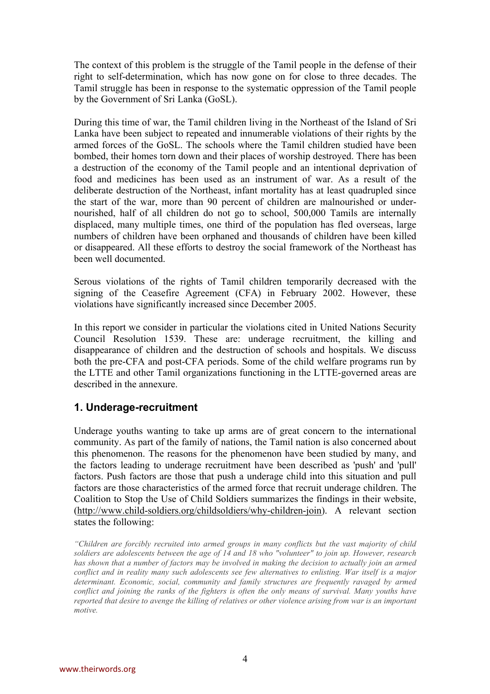The context of this problem is the struggle of the Tamil people in the defense of their right to self-determination, which has now gone on for close to three decades. The Tamil struggle has been in response to the systematic oppression of the Tamil people by the Government of Sri Lanka (GoSL).

During this time of war, the Tamil children living in the Northeast of the Island of Sri Lanka have been subject to repeated and innumerable violations of their rights by the armed forces of the GoSL. The schools where the Tamil children studied have been bombed, their homes torn down and their places of worship destroyed. There has been a destruction of the economy of the Tamil people and an intentional deprivation of food and medicines has been used as an instrument of war. As a result of the deliberate destruction of the Northeast, infant mortality has at least quadrupled since the start of the war, more than 90 percent of children are malnourished or undernourished, half of all children do not go to school, 500,000 Tamils are internally displaced, many multiple times, one third of the population has fled overseas, large numbers of children have been orphaned and thousands of children have been killed or disappeared. All these efforts to destroy the social framework of the Northeast has been well documented.

Serous violations of the rights of Tamil children temporarily decreased with the signing of the Ceasefire Agreement (CFA) in February 2002. However, these violations have significantly increased since December 2005.

In this report we consider in particular the violations cited in United Nations Security Council Resolution 1539. These are: underage recruitment, the killing and disappearance of children and the destruction of schools and hospitals. We discuss both the pre-CFA and post-CFA periods. Some of the child welfare programs run by the LTTE and other Tamil organizations functioning in the LTTE-governed areas are described in the annexure.

#### **1. Underage-recruitment**

Underage youths wanting to take up arms are of great concern to the international community. As part of the family of nations, the Tamil nation is also concerned about this phenomenon. The reasons for the phenomenon have been studied by many, and the factors leading to underage recruitment have been described as 'push' and 'pull' factors. Push factors are those that push a underage child into this situation and pull factors are those characteristics of the armed force that recruit underage children. The Coalition to Stop the Use of Child Soldiers summarizes the findings in their website, (http://www.child-soldiers.org/childsoldiers/why-children-join). A relevant section states the following:

*<sup>&</sup>quot;Children are forcibly recruited into armed groups in many conflicts but the vast majority of child soldiers are adolescents between the age of 14 and 18 who "volunteer" to join up. However, research has shown that a number of factors may be involved in making the decision to actually join an armed conflict and in reality many such adolescents see few alternatives to enlisting. War itself is a major determinant. Economic, social, community and family structures are frequently ravaged by armed conflict and joining the ranks of the fighters is often the only means of survival. Many youths have reported that desire to avenge the killing of relatives or other violence arising from war is an important motive.*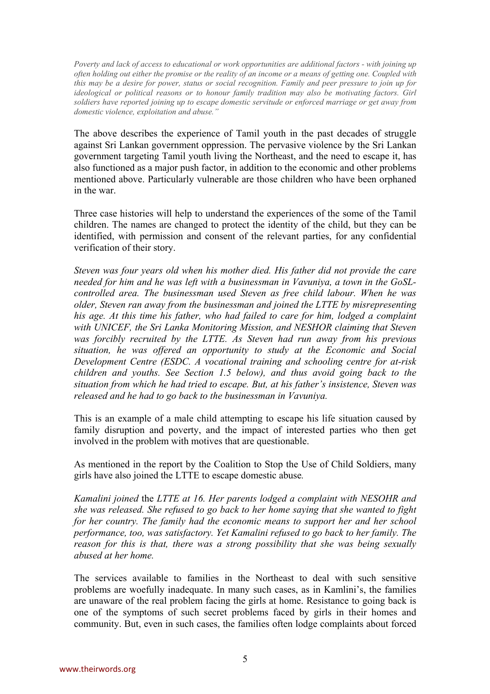*Poverty and lack of access to educational or work opportunities are additional factors - with joining up often holding out either the promise or the reality of an income or a means of getting one. Coupled with this may be a desire for power, status or social recognition. Family and peer pressure to join up for ideological or political reasons or to honour family tradition may also be motivating factors. Girl soldiers have reported joining up to escape domestic servitude or enforced marriage or get away from domestic violence, exploitation and abuse."* 

The above describes the experience of Tamil youth in the past decades of struggle against Sri Lankan government oppression. The pervasive violence by the Sri Lankan government targeting Tamil youth living the Northeast, and the need to escape it, has also functioned as a major push factor, in addition to the economic and other problems mentioned above. Particularly vulnerable are those children who have been orphaned in the war.

Three case histories will help to understand the experiences of the some of the Tamil children. The names are changed to protect the identity of the child, but they can be identified, with permission and consent of the relevant parties, for any confidential verification of their story.

*Steven was four years old when his mother died. His father did not provide the care needed for him and he was left with a businessman in Vavuniya, a town in the GoSLcontrolled area. The businessman used Steven as free child labour. When he was older, Steven ran away from the businessman and joined the LTTE by misrepresenting his age. At this time his father, who had failed to care for him, lodged a complaint with UNICEF, the Sri Lanka Monitoring Mission, and NESHOR claiming that Steven was forcibly recruited by the LTTE. As Steven had run away from his previous situation, he was offered an opportunity to study at the Economic and Social Development Centre (ESDC. A vocational training and schooling centre for at-risk children and youths. See Section 1.5 below), and thus avoid going back to the situation from which he had tried to escape. But, at his father's insistence, Steven was released and he had to go back to the businessman in Vavuniya.* 

This is an example of a male child attempting to escape his life situation caused by family disruption and poverty, and the impact of interested parties who then get involved in the problem with motives that are questionable.

As mentioned in the report by the Coalition to Stop the Use of Child Soldiers, many girls have also joined the LTTE to escape domestic abuse*.* 

*Kamalini joined* the *LTTE at 16. Her parents lodged a complaint with NESOHR and she was released. She refused to go back to her home saying that she wanted to fight for her country. The family had the economic means to support her and her school performance, too, was satisfactory. Yet Kamalini refused to go back to her family. The reason for this is that, there was a strong possibility that she was being sexually abused at her home.* 

The services available to families in the Northeast to deal with such sensitive problems are woefully inadequate. In many such cases, as in Kamlini's, the families are unaware of the real problem facing the girls at home. Resistance to going back is one of the symptoms of such secret problems faced by girls in their homes and community. But, even in such cases, the families often lodge complaints about forced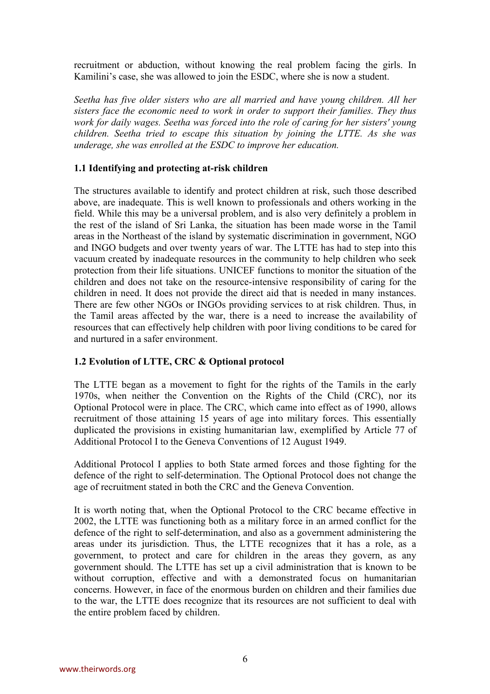recruitment or abduction, without knowing the real problem facing the girls. In Kamilini's case, she was allowed to join the ESDC, where she is now a student.

*Seetha has five older sisters who are all married and have young children. All her sisters face the economic need to work in order to support their families. They thus work for daily wages. Seetha was forced into the role of caring for her sisters' young children. Seetha tried to escape this situation by joining the LTTE. As she was underage, she was enrolled at the ESDC to improve her education.* 

#### **1.1 Identifying and protecting at-risk children**

The structures available to identify and protect children at risk, such those described above, are inadequate. This is well known to professionals and others working in the field. While this may be a universal problem, and is also very definitely a problem in the rest of the island of Sri Lanka, the situation has been made worse in the Tamil areas in the Northeast of the island by systematic discrimination in government, NGO and INGO budgets and over twenty years of war. The LTTE has had to step into this vacuum created by inadequate resources in the community to help children who seek protection from their life situations. UNICEF functions to monitor the situation of the children and does not take on the resource-intensive responsibility of caring for the children in need. It does not provide the direct aid that is needed in many instances. There are few other NGOs or INGOs providing services to at risk children. Thus, in the Tamil areas affected by the war, there is a need to increase the availability of resources that can effectively help children with poor living conditions to be cared for and nurtured in a safer environment.

#### **1.2 Evolution of LTTE, CRC & Optional protocol**

The LTTE began as a movement to fight for the rights of the Tamils in the early 1970s, when neither the Convention on the Rights of the Child (CRC), nor its Optional Protocol were in place. The CRC, which came into effect as of 1990, allows recruitment of those attaining 15 years of age into military forces. This essentially duplicated the provisions in existing humanitarian law, exemplified by Article 77 of Additional Protocol I to the Geneva Conventions of 12 August 1949.

Additional Protocol I applies to both State armed forces and those fighting for the defence of the right to self-determination. The Optional Protocol does not change the age of recruitment stated in both the CRC and the Geneva Convention.

It is worth noting that, when the Optional Protocol to the CRC became effective in 2002, the LTTE was functioning both as a military force in an armed conflict for the defence of the right to self-determination, and also as a government administering the areas under its jurisdiction. Thus, the LTTE recognizes that it has a role, as a government, to protect and care for children in the areas they govern, as any government should. The LTTE has set up a civil administration that is known to be without corruption, effective and with a demonstrated focus on humanitarian concerns. However, in face of the enormous burden on children and their families due to the war, the LTTE does recognize that its resources are not sufficient to deal with the entire problem faced by children.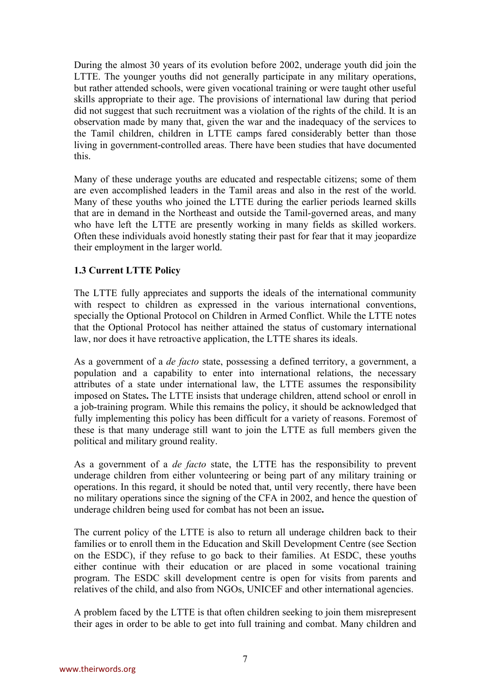During the almost 30 years of its evolution before 2002, underage youth did join the LTTE. The younger youths did not generally participate in any military operations, but rather attended schools, were given vocational training or were taught other useful skills appropriate to their age. The provisions of international law during that period did not suggest that such recruitment was a violation of the rights of the child. It is an observation made by many that, given the war and the inadequacy of the services to the Tamil children, children in LTTE camps fared considerably better than those living in government-controlled areas. There have been studies that have documented this.

Many of these underage youths are educated and respectable citizens; some of them are even accomplished leaders in the Tamil areas and also in the rest of the world. Many of these youths who joined the LTTE during the earlier periods learned skills that are in demand in the Northeast and outside the Tamil-governed areas, and many who have left the LTTE are presently working in many fields as skilled workers. Often these individuals avoid honestly stating their past for fear that it may jeopardize their employment in the larger world.

#### **1.3 Current LTTE Policy**

The LTTE fully appreciates and supports the ideals of the international community with respect to children as expressed in the various international conventions, specially the Optional Protocol on Children in Armed Conflict. While the LTTE notes that the Optional Protocol has neither attained the status of customary international law, nor does it have retroactive application, the LTTE shares its ideals.

As a government of a *de facto* state, possessing a defined territory, a government, a population and a capability to enter into international relations, the necessary attributes of a state under international law, the LTTE assumes the responsibility imposed on States**.** The LTTE insists that underage children, attend school or enroll in a job-training program. While this remains the policy, it should be acknowledged that fully implementing this policy has been difficult for a variety of reasons. Foremost of these is that many underage still want to join the LTTE as full members given the political and military ground reality.

As a government of a *de facto* state, the LTTE has the responsibility to prevent underage children from either volunteering or being part of any military training or operations. In this regard, it should be noted that, until very recently, there have been no military operations since the signing of the CFA in 2002, and hence the question of underage children being used for combat has not been an issue**.** 

The current policy of the LTTE is also to return all underage children back to their families or to enroll them in the Education and Skill Development Centre (see Section on the ESDC), if they refuse to go back to their families. At ESDC, these youths either continue with their education or are placed in some vocational training program. The ESDC skill development centre is open for visits from parents and relatives of the child, and also from NGOs, UNICEF and other international agencies.

A problem faced by the LTTE is that often children seeking to join them misrepresent their ages in order to be able to get into full training and combat. Many children and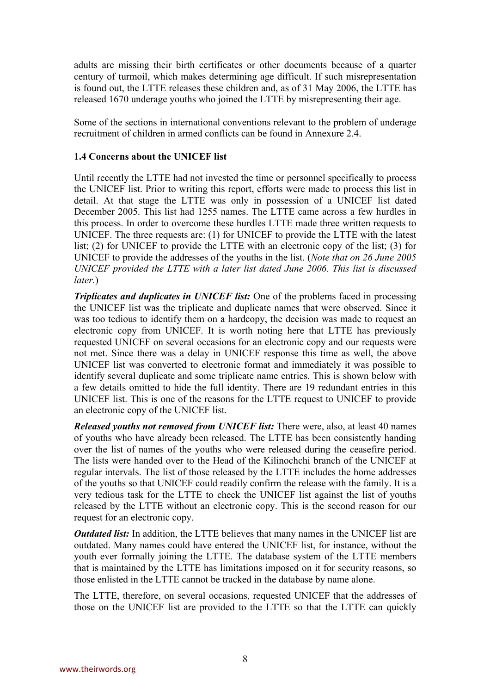adults are missing their birth certificates or other documents because of a quarter century of turmoil, which makes determining age difficult. If such misrepresentation is found out, the LTTE releases these children and, as of 31 May 2006, the LTTE has released 1670 underage youths who joined the LTTE by misrepresenting their age.

Some of the sections in international conventions relevant to the problem of underage recruitment of children in armed conflicts can be found in Annexure 2.4.

#### **1.4 Concerns about the UNICEF list**

Until recently the LTTE had not invested the time or personnel specifically to process the UNICEF list. Prior to writing this report, efforts were made to process this list in detail. At that stage the LTTE was only in possession of a UNICEF list dated December 2005. This list had 1255 names. The LTTE came across a few hurdles in this process. In order to overcome these hurdles LTTE made three written requests to UNICEF. The three requests are: (1) for UNICEF to provide the LTTE with the latest list; (2) for UNICEF to provide the LTTE with an electronic copy of the list; (3) for UNICEF to provide the addresses of the youths in the list. (*Note that on 26 June 2005 UNICEF provided the LTTE with a later list dated June 2006. This list is discussed later.*)

*Triplicates and duplicates in UNICEF list:* One of the problems faced in processing the UNICEF list was the triplicate and duplicate names that were observed. Since it was too tedious to identify them on a hardcopy, the decision was made to request an electronic copy from UNICEF. It is worth noting here that LTTE has previously requested UNICEF on several occasions for an electronic copy and our requests were not met. Since there was a delay in UNICEF response this time as well, the above UNICEF list was converted to electronic format and immediately it was possible to identify several duplicate and some triplicate name entries. This is shown below with a few details omitted to hide the full identity. There are 19 redundant entries in this UNICEF list. This is one of the reasons for the LTTE request to UNICEF to provide an electronic copy of the UNICEF list.

*Released youths not removed from UNICEF list:* There were, also, at least 40 names of youths who have already been released. The LTTE has been consistently handing over the list of names of the youths who were released during the ceasefire period. The lists were handed over to the Head of the Kilinochchi branch of the UNICEF at regular intervals. The list of those released by the LTTE includes the home addresses of the youths so that UNICEF could readily confirm the release with the family. It is a very tedious task for the LTTE to check the UNICEF list against the list of youths released by the LTTE without an electronic copy. This is the second reason for our request for an electronic copy.

*Outdated list:* In addition, the LTTE believes that many names in the UNICEF list are outdated. Many names could have entered the UNICEF list, for instance, without the youth ever formally joining the LTTE. The database system of the LTTE members that is maintained by the LTTE has limitations imposed on it for security reasons, so those enlisted in the LTTE cannot be tracked in the database by name alone.

The LTTE, therefore, on several occasions, requested UNICEF that the addresses of those on the UNICEF list are provided to the LTTE so that the LTTE can quickly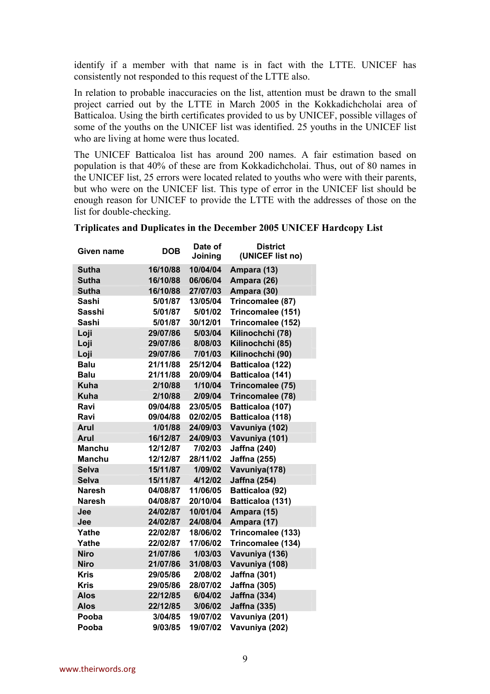identify if a member with that name is in fact with the LTTE. UNICEF has consistently not responded to this request of the LTTE also.

In relation to probable inaccuracies on the list, attention must be drawn to the small project carried out by the LTTE in March 2005 in the Kokkadichcholai area of Batticaloa. Using the birth certificates provided to us by UNICEF, possible villages of some of the youths on the UNICEF list was identified. 25 youths in the UNICEF list who are living at home were thus located.

The UNICEF Batticaloa list has around 200 names. A fair estimation based on population is that 40% of these are from Kokkadichcholai. Thus, out of 80 names in the UNICEF list, 25 errors were located related to youths who were with their parents, but who were on the UNICEF list. This type of error in the UNICEF list should be enough reason for UNICEF to provide the LTTE with the addresses of those on the list for double-checking.

#### **Triplicates and Duplicates in the December 2005 UNICEF Hardcopy List**

| Given name    | <b>DOB</b> | Date of<br>Joining | <b>District</b><br>(UNICEF list no) |
|---------------|------------|--------------------|-------------------------------------|
| Sutha         | 16/10/88   | 10/04/04           | Ampara (13)                         |
| <b>Sutha</b>  | 16/10/88   | 06/06/04           | Ampara (26)                         |
| Sutha         | 16/10/88   | 27/07/03           | Ampara (30)                         |
| Sashi         | 5/01/87    | 13/05/04           | Trincomalee (87)                    |
| Sasshi        | 5/01/87    | 5/01/02            | Trincomalee (151)                   |
| Sashi         | 5/01/87    | 30/12/01           | Trincomalee (152)                   |
| Loji          | 29/07/86   | 5/03/04            | Kilinochchi (78)                    |
| Loji          | 29/07/86   | 8/08/03            | Kilinochchi (85)                    |
| Loji          | 29/07/86   | 7/01/03            | Kilinochchi (90)                    |
| <b>Balu</b>   | 21/11/88   | 25/12/04           | Batticaloa (122)                    |
| <b>Balu</b>   | 21/11/88   | 20/09/04           | Batticaloa (141)                    |
| <b>Kuha</b>   | 2/10/88    | 1/10/04            | Trincomalee (75)                    |
| <b>Kuha</b>   | 2/10/88    | 2/09/04            | Trincomalee (78)                    |
| Ravi          | 09/04/88   | 23/05/05           | Batticaloa (107)                    |
| Ravi          | 09/04/88   | 02/02/05           | Batticaloa (118)                    |
| Arul          | 1/01/88    | 24/09/03           | Vavuniya (102)                      |
| Arul          | 16/12/87   | 24/09/03           | Vavuniya (101)                      |
| <b>Manchu</b> | 12/12/87   | 7/02/03            | <b>Jaffna (240)</b>                 |
| <b>Manchu</b> | 12/12/87   | 28/11/02           | <b>Jaffna (255)</b>                 |
| <b>Selva</b>  | 15/11/87   | 1/09/02            | Vavuniya(178)                       |
| <b>Selva</b>  | 15/11/87   | 4/12/02            | <b>Jaffna (254)</b>                 |
| Naresh        | 04/08/87   | 11/06/05           | Batticaloa (92)                     |
| Naresh        | 04/08/87   | 20/10/04           | Batticaloa (131)                    |
| Jee           | 24/02/87   | 10/01/04           | Ampara (15)                         |
| Jee           | 24/02/87   | 24/08/04           | Ampara (17)                         |
| Yathe         | 22/02/87   | 18/06/02           | Trincomalee (133)                   |
| Yathe         | 22/02/87   | 17/06/02           | Trincomalee (134)                   |
| <b>Niro</b>   | 21/07/86   | 1/03/03            | Vavuniya (136)                      |
| <b>Niro</b>   | 21/07/86   | 31/08/03           | Vavuniya (108)                      |
| <b>Kris</b>   | 29/05/86   | 2/08/02            | Jaffna (301)                        |
| <b>Kris</b>   | 29/05/86   | 28/07/02           | <b>Jaffna (305)</b>                 |
| <b>Alos</b>   | 22/12/85   | 6/04/02            | <b>Jaffna (334)</b>                 |
| <b>Alos</b>   | 22/12/85   | 3/06/02            | <b>Jaffna (335)</b>                 |
| Pooba         | 3/04/85    | 19/07/02           | Vavuniya (201)                      |
| Pooba         | 9/03/85    | 19/07/02           | Vavuniya (202)                      |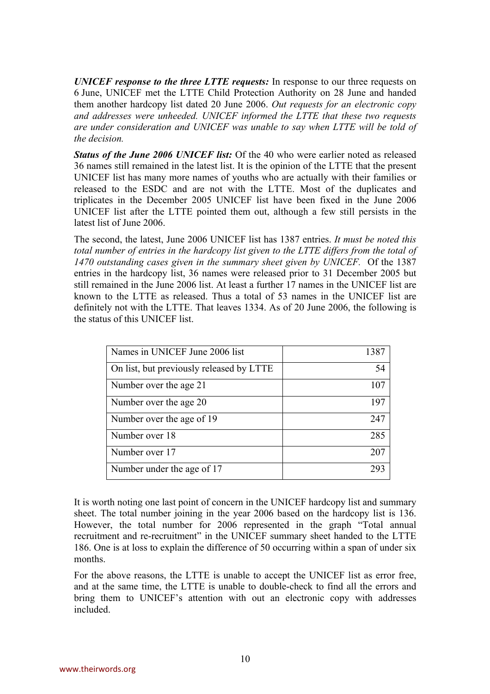*UNICEF response to the three LTTE requests:* In response to our three requests on 6 June, UNICEF met the LTTE Child Protection Authority on 28 June and handed them another hardcopy list dated 20 June 2006. *Out requests for an electronic copy and addresses were unheeded. UNICEF informed the LTTE that these two requests are under consideration and UNICEF was unable to say when LTTE will be told of the decision.*

*Status of the June 2006 UNICEF list:* Of the 40 who were earlier noted as released 36 names still remained in the latest list. It is the opinion of the LTTE that the present UNICEF list has many more names of youths who are actually with their families or released to the ESDC and are not with the LTTE. Most of the duplicates and triplicates in the December 2005 UNICEF list have been fixed in the June 2006 UNICEF list after the LTTE pointed them out, although a few still persists in the latest list of June 2006.

The second, the latest, June 2006 UNICEF list has 1387 entries. *It must be noted this total number of entries in the hardcopy list given to the LTTE differs from the total of 1470 outstanding cases given in the summary sheet given by UNICEF.* Of the 1387 entries in the hardcopy list, 36 names were released prior to 31 December 2005 but still remained in the June 2006 list. At least a further 17 names in the UNICEF list are known to the LTTE as released. Thus a total of 53 names in the UNICEF list are definitely not with the LTTE. That leaves 1334. As of 20 June 2006, the following is the status of this UNICEF list.

| Names in UNICEF June 2006 list           | 1387 |
|------------------------------------------|------|
| On list, but previously released by LTTE | 54   |
| Number over the age 21                   | 107  |
| Number over the age 20                   | 197  |
| Number over the age of 19                | 247  |
| Number over 18                           | 285  |
| Number over 17                           | 207  |
| Number under the age of 17               | 293  |

It is worth noting one last point of concern in the UNICEF hardcopy list and summary sheet. The total number joining in the year 2006 based on the hardcopy list is 136. However, the total number for 2006 represented in the graph "Total annual recruitment and re-recruitment" in the UNICEF summary sheet handed to the LTTE 186. One is at loss to explain the difference of 50 occurring within a span of under six months.

For the above reasons, the LTTE is unable to accept the UNICEF list as error free, and at the same time, the LTTE is unable to double-check to find all the errors and bring them to UNICEF's attention with out an electronic copy with addresses included.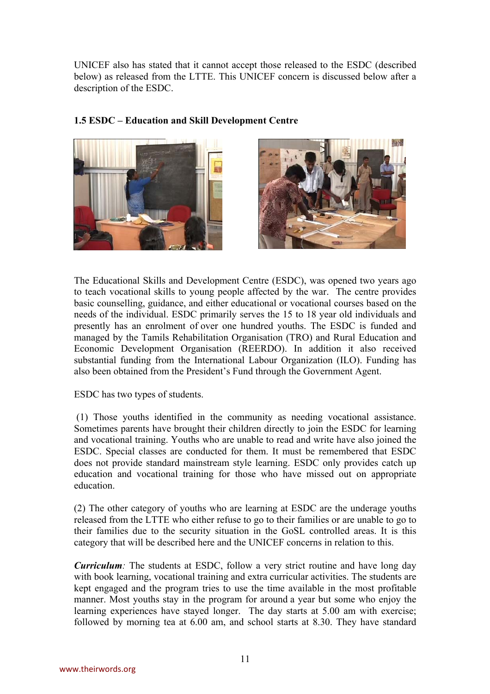UNICEF also has stated that it cannot accept those released to the ESDC (described below) as released from the LTTE. This UNICEF concern is discussed below after a description of the ESDC.



#### **1.5 ESDC – Education and Skill Development Centre**



The Educational Skills and Development Centre (ESDC), was opened two years ago to teach vocational skills to young people affected by the war. The centre provides basic counselling, guidance, and either educational or vocational courses based on the needs of the individual. ESDC primarily serves the 15 to 18 year old individuals and presently has an enrolment of over one hundred youths. The ESDC is funded and managed by the Tamils Rehabilitation Organisation (TRO) and Rural Education and Economic Development Organisation (REERDO). In addition it also received substantial funding from the International Labour Organization (ILO). Funding has also been obtained from the President's Fund through the Government Agent.

ESDC has two types of students.

 (1) Those youths identified in the community as needing vocational assistance. Sometimes parents have brought their children directly to join the ESDC for learning and vocational training. Youths who are unable to read and write have also joined the ESDC. Special classes are conducted for them. It must be remembered that ESDC does not provide standard mainstream style learning. ESDC only provides catch up education and vocational training for those who have missed out on appropriate education.

(2) The other category of youths who are learning at ESDC are the underage youths released from the LTTE who either refuse to go to their families or are unable to go to their families due to the security situation in the GoSL controlled areas. It is this category that will be described here and the UNICEF concerns in relation to this.

*Curriculum:* The students at ESDC, follow a very strict routine and have long day with book learning, vocational training and extra curricular activities. The students are kept engaged and the program tries to use the time available in the most profitable manner. Most youths stay in the program for around a year but some who enjoy the learning experiences have stayed longer. The day starts at 5.00 am with exercise; followed by morning tea at 6.00 am, and school starts at 8.30. They have standard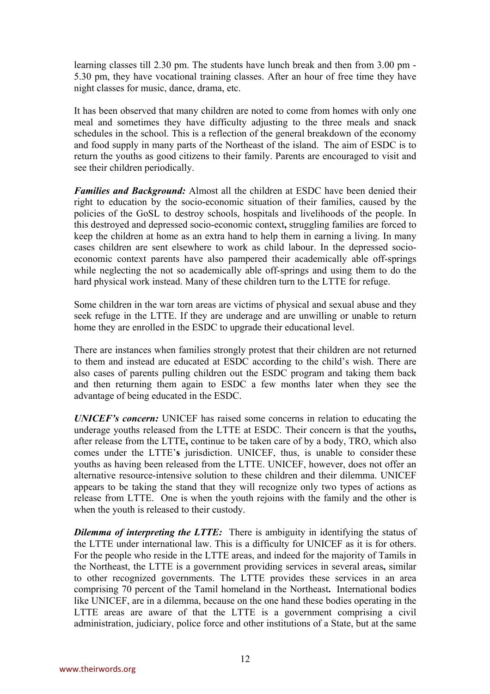learning classes till 2.30 pm. The students have lunch break and then from 3.00 pm - 5.30 pm, they have vocational training classes. After an hour of free time they have night classes for music, dance, drama, etc.

It has been observed that many children are noted to come from homes with only one meal and sometimes they have difficulty adjusting to the three meals and snack schedules in the school. This is a reflection of the general breakdown of the economy and food supply in many parts of the Northeast of the island. The aim of ESDC is to return the youths as good citizens to their family. Parents are encouraged to visit and see their children periodically.

*Families and Background:* Almost all the children at ESDC have been denied their right to education by the socio-economic situation of their families, caused by the policies of the GoSL to destroy schools, hospitals and livelihoods of the people. In this destroyed and depressed socio-economic context**,** struggling families are forced to keep the children at home as an extra hand to help them in earning a living. In many cases children are sent elsewhere to work as child labour. In the depressed socioeconomic context parents have also pampered their academically able off-springs while neglecting the not so academically able off-springs and using them to do the hard physical work instead. Many of these children turn to the LTTE for refuge.

Some children in the war torn areas are victims of physical and sexual abuse and they seek refuge in the LTTE. If they are underage and are unwilling or unable to return home they are enrolled in the ESDC to upgrade their educational level.

There are instances when families strongly protest that their children are not returned to them and instead are educated at ESDC according to the child's wish. There are also cases of parents pulling children out the ESDC program and taking them back and then returning them again to ESDC a few months later when they see the advantage of being educated in the ESDC.

*UNICEF's concern:* UNICEF has raised some concerns in relation to educating the underage youths released from the LTTE at ESDC. Their concern is that the youths**,**  after release from the LTTE**,** continue to be taken care of by a body, TRO, which also comes under the LTTE'**s** jurisdiction. UNICEF, thus, is unable to consider these youths as having been released from the LTTE. UNICEF, however, does not offer an alternative resource-intensive solution to these children and their dilemma. UNICEF appears to be taking the stand that they will recognize only two types of actions as release from LTTE. One is when the youth rejoins with the family and the other is when the youth is released to their custody.

**Dilemma of interpreting the LTTE:** There is ambiguity in identifying the status of the LTTE under international law. This is a difficulty for UNICEF as it is for others. For the people who reside in the LTTE areas, and indeed for the majority of Tamils in the Northeast, the LTTE is a government providing services in several areas**,** similar to other recognized governments. The LTTE provides these services in an area comprising 70 percent of the Tamil homeland in the Northeast**.** International bodies like UNICEF, are in a dilemma, because on the one hand these bodies operating in the LTTE areas are aware of that the LTTE is a government comprising a civil administration, judiciary, police force and other institutions of a State, but at the same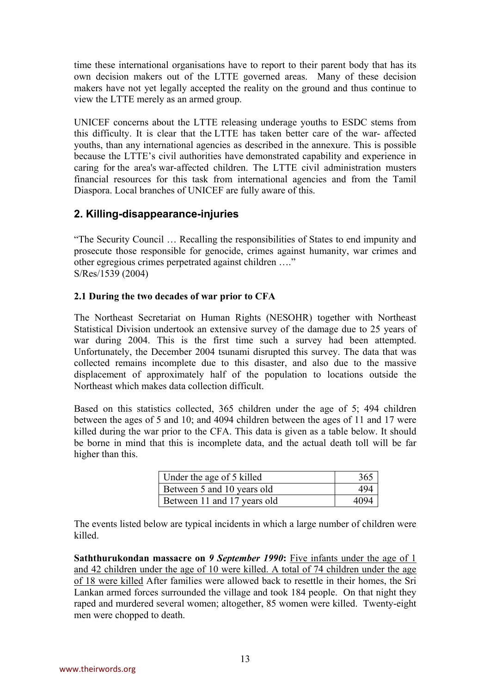time these international organisations have to report to their parent body that has its own decision makers out of the LTTE governed areas. Many of these decision makers have not yet legally accepted the reality on the ground and thus continue to view the LTTE merely as an armed group.

UNICEF concerns about the LTTE releasing underage youths to ESDC stems from this difficulty. It is clear that the LTTE has taken better care of the war- affected youths, than any international agencies as described in the annexure. This is possible because the LTTE's civil authorities have demonstrated capability and experience in caring for the area's war-affected children. The LTTE civil administration musters financial resources for this task from international agencies and from the Tamil Diaspora. Local branches of UNICEF are fully aware of this.

#### **2. Killing-disappearance-injuries**

"The Security Council … Recalling the responsibilities of States to end impunity and prosecute those responsible for genocide, crimes against humanity, war crimes and other egregious crimes perpetrated against children …." S/Res/1539 (2004)

#### **2.1 During the two decades of war prior to CFA**

The Northeast Secretariat on Human Rights (NESOHR) together with Northeast Statistical Division undertook an extensive survey of the damage due to 25 years of war during 2004. This is the first time such a survey had been attempted. Unfortunately, the December 2004 tsunami disrupted this survey. The data that was collected remains incomplete due to this disaster, and also due to the massive displacement of approximately half of the population to locations outside the Northeast which makes data collection difficult.

Based on this statistics collected, 365 children under the age of 5; 494 children between the ages of 5 and 10; and 4094 children between the ages of 11 and 17 were killed during the war prior to the CFA. This data is given as a table below. It should be borne in mind that this is incomplete data, and the actual death toll will be far higher than this.

| Under the age of 5 killed   | 365  |
|-----------------------------|------|
| Between 5 and 10 years old  | 494  |
| Between 11 and 17 years old | 4094 |

The events listed below are typical incidents in which a large number of children were killed.

**Saththurukondan massacre on** *9 September 1990***:** Five infants under the age of 1 and 42 children under the age of 10 were killed. A total of 74 children under the age of 18 were killed After families were allowed back to resettle in their homes, the Sri Lankan armed forces surrounded the village and took 184 people. On that night they raped and murdered several women; altogether, 85 women were killed. Twenty-eight men were chopped to death.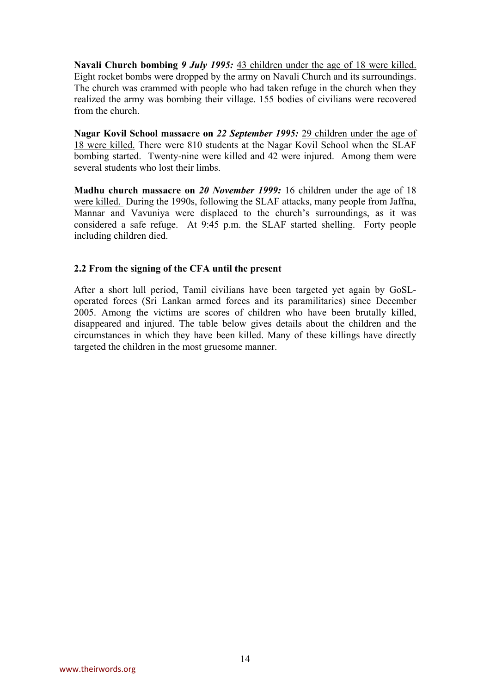**Navali Church bombing** *9 July 1995:* 43 children under the age of 18 were killed. Eight rocket bombs were dropped by the army on Navali Church and its surroundings. The church was crammed with people who had taken refuge in the church when they realized the army was bombing their village. 155 bodies of civilians were recovered from the church.

**Nagar Kovil School massacre on** *22 September 1995:* 29 children under the age of 18 were killed. There were 810 students at the Nagar Kovil School when the SLAF bombing started. Twenty-nine were killed and 42 were injured. Among them were several students who lost their limbs.

**Madhu church massacre on** *20 November 1999:* 16 children under the age of 18 were killed. During the 1990s, following the SLAF attacks, many people from Jaffna, Mannar and Vavuniya were displaced to the church's surroundings, as it was considered a safe refuge. At 9:45 p.m. the SLAF started shelling. Forty people including children died.

#### **2.2 From the signing of the CFA until the present**

After a short lull period, Tamil civilians have been targeted yet again by GoSLoperated forces (Sri Lankan armed forces and its paramilitaries) since December 2005. Among the victims are scores of children who have been brutally killed, disappeared and injured. The table below gives details about the children and the circumstances in which they have been killed. Many of these killings have directly targeted the children in the most gruesome manner.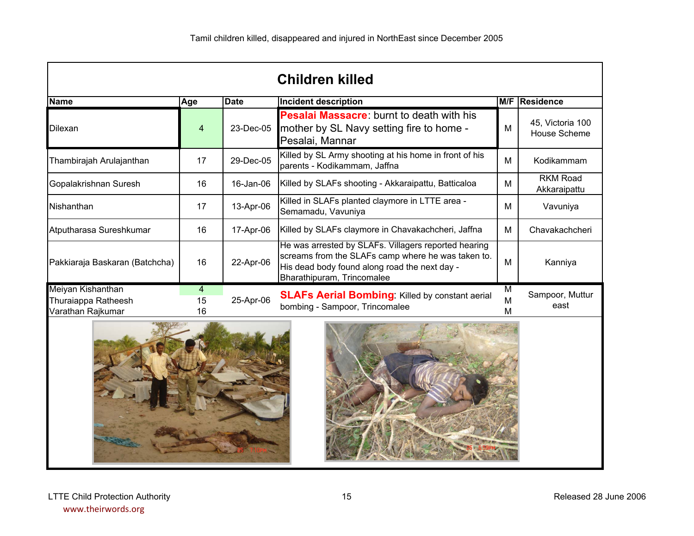|                                                               |                            |             | <b>Children killed</b>                                                                                                                                                                    |   |                                         |
|---------------------------------------------------------------|----------------------------|-------------|-------------------------------------------------------------------------------------------------------------------------------------------------------------------------------------------|---|-----------------------------------------|
| <b>Name</b>                                                   | Age                        | <b>Date</b> | Incident description                                                                                                                                                                      |   | M/F Residence                           |
| Dilexan                                                       | 4                          | 23-Dec-05   | <b>Pesalai Massacre:</b> burnt to death with his<br>mother by SL Navy setting fire to home -<br>Pesalai, Mannar                                                                           | M | 45, Victoria 100<br><b>House Scheme</b> |
| Thambirajah Arulajanthan                                      | 17                         | 29-Dec-05   | Killed by SL Army shooting at his home in front of his<br>parents - Kodikammam, Jaffna                                                                                                    | M | Kodikammam                              |
| Gopalakrishnan Suresh                                         | 16                         | 16-Jan-06   | Killed by SLAFs shooting - Akkaraipattu, Batticaloa                                                                                                                                       | М | <b>RKM Road</b><br>Akkaraipattu         |
| Nishanthan                                                    | 17                         | 13-Apr-06   | Killed in SLAFs planted claymore in LTTE area -<br>Semamadu, Vavuniya                                                                                                                     | М | Vavuniya                                |
| Atputharasa Sureshkumar                                       | 16                         | 17-Apr-06   | Killed by SLAFs claymore in Chavakachcheri, Jaffna                                                                                                                                        | М | Chavakachcheri                          |
| Pakkiaraja Baskaran (Batchcha)                                | 16                         | 22-Apr-06   | He was arrested by SLAFs. Villagers reported hearing<br>screams from the SLAFs camp where he was taken to.<br>His dead body found along road the next day -<br>Bharathipuram, Trincomalee |   | Kanniya                                 |
| Meiyan Kishanthan<br>Thuraiappa Ratheesh<br>Varathan Rajkumar | $\overline{4}$<br>15<br>16 | 25-Apr-06   | <b>SLAFs Aerial Bombing:</b> Killed by constant aerial<br>bombing - Sampoor, Trincomalee                                                                                                  |   | Sampoor, Muttur<br>east                 |
|                                                               |                            |             |                                                                                                                                                                                           |   |                                         |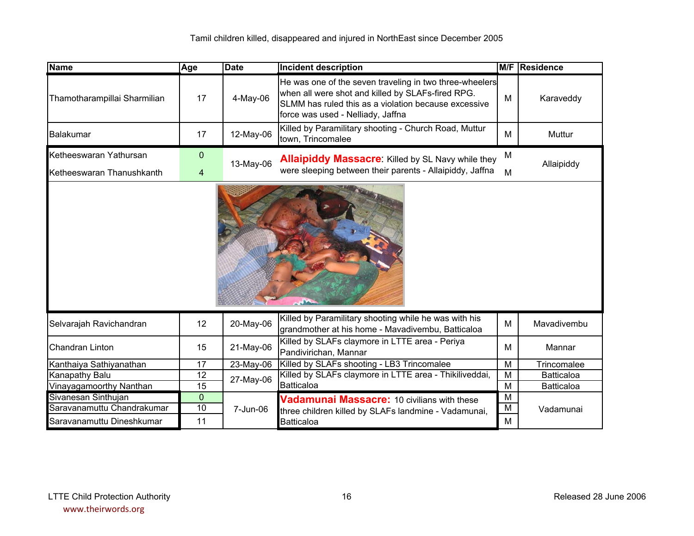| <b>Name</b>                  | Age             | <b>Date</b> | <b>Incident description</b>                                                                                                                                                                               |                         | <b>M/F Residence</b> |
|------------------------------|-----------------|-------------|-----------------------------------------------------------------------------------------------------------------------------------------------------------------------------------------------------------|-------------------------|----------------------|
| Thamotharampillai Sharmilian | 17              | $4$ -May-06 | He was one of the seven traveling in two three-wheelers<br>when all were shot and killed by SLAFs-fired RPG.<br>SLMM has ruled this as a violation because excessive<br>force was used - Nelliady, Jaffna | М                       | Karaveddy            |
| Balakumar                    | 17              | 12-May-06   | Killed by Paramilitary shooting - Church Road, Muttur<br>town, Trincomalee                                                                                                                                | M                       | Muttur               |
| Ketheeswaran Yathursan       | $\mathbf 0$     |             | <b>Allaipiddy Massacre:</b> Killed by SL Navy while they                                                                                                                                                  | M                       |                      |
| Ketheeswaran Thanushkanth    | 4               | 13-May-06   | were sleeping between their parents - Allaipiddy, Jaffna                                                                                                                                                  | M                       | Allaipiddy           |
|                              |                 |             |                                                                                                                                                                                                           |                         |                      |
| Selvarajah Ravichandran      | 12              | 20-May-06   | Killed by Paramilitary shooting while he was with his<br>grandmother at his home - Mavadivembu, Batticaloa                                                                                                | M                       | Mavadivembu          |
| <b>Chandran Linton</b>       | 15              | 21-May-06   | Killed by SLAFs claymore in LTTE area - Periya<br>Pandivirichan, Mannar                                                                                                                                   | м                       | Mannar               |
| Kanthaiya Sathiyanathan      | 17              | 23-May-06   | Killed by SLAFs shooting - LB3 Trincomalee                                                                                                                                                                | $\overline{\mathsf{M}}$ | Trincomalee          |
| Kanapathy Balu               | 12              | 27-May-06   | Killed by SLAFs claymore in LTTE area - Thikiliveddai,                                                                                                                                                    | M                       | Batticaloa           |
| Vinayagamoorthy Nanthan      | $\overline{15}$ |             | Batticaloa                                                                                                                                                                                                | M                       | <b>Batticaloa</b>    |
| Sivanesan Sinthujan          | $\overline{0}$  |             | Vadamunai Massacre: 10 civilians with these                                                                                                                                                               | M                       |                      |
| Saravanamuttu Chandrakumar   | 10              | 7-Jun-06    | three children killed by SLAFs landmine - Vadamunai,                                                                                                                                                      |                         | Vadamunai            |
| Saravanamuttu Dineshkumar    | 11              |             | <b>Batticaloa</b>                                                                                                                                                                                         | M                       |                      |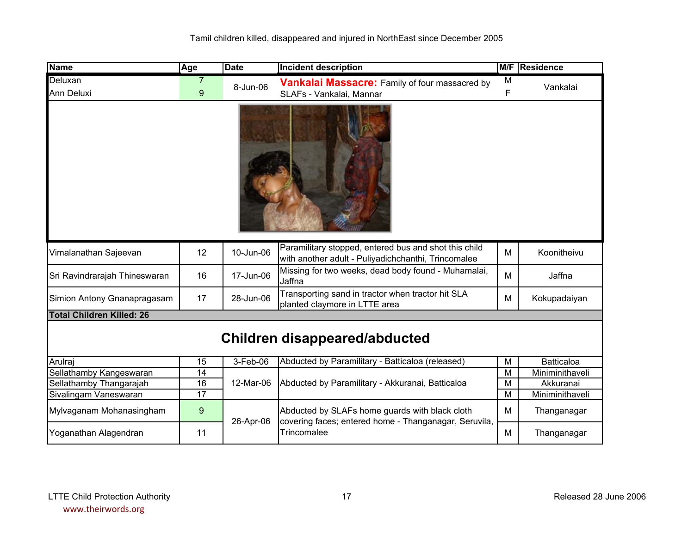| <b>Name</b>                      | Age              | <b>Date</b> | <b>Incident description</b>                                                                                  |   | M/F Residence     |
|----------------------------------|------------------|-------------|--------------------------------------------------------------------------------------------------------------|---|-------------------|
| Deluxan                          |                  |             | Vankalai Massacre: Family of four massacred by                                                               | M |                   |
| <b>Ann Deluxi</b>                | 9                | 8-Jun-06    | SLAFs - Vankalai, Mannar                                                                                     | F | Vankalai          |
|                                  |                  |             |                                                                                                              |   |                   |
| Vimalanathan Sajeevan            | 12               | 10-Jun-06   | Paramilitary stopped, entered bus and shot this child<br>with another adult - Puliyadichchanthi, Trincomalee | M | Koonitheivu       |
| Sri Ravindrarajah Thineswaran    | 16               | 17-Jun-06   | Missing for two weeks, dead body found - Muhamalai,<br>Jaffna                                                | M | Jaffna            |
| Simion Antony Gnanapragasam      | 17               | 28-Jun-06   | Transporting sand in tractor when tractor hit SLA<br>planted claymore in LTTE area                           | М | Kokupadaiyan      |
| <b>Total Children Killed: 26</b> |                  |             |                                                                                                              |   |                   |
|                                  |                  |             | <b>Children disappeared/abducted</b>                                                                         |   |                   |
| Arulraj                          | $\overline{15}$  | 3-Feb-06    | Abducted by Paramilitary - Batticaloa (released)                                                             | M | <b>Batticaloa</b> |
| Sellathamby Kangeswaran          | 14               |             |                                                                                                              | M | Miniminithaveli   |
| Sellathamby Thangarajah          | 16               | 12-Mar-06   | Abducted by Paramilitary - Akkuranai, Batticaloa                                                             | M | Akkuranai         |
| Sivalingam Vaneswaran            | 17               |             |                                                                                                              | M | Miniminithaveli   |
| Mylvaganam Mohanasingham         | $\boldsymbol{9}$ | 26-Apr-06   | Abducted by SLAFs home guards with black cloth<br>covering faces; entered home - Thanganagar, Seruvila,      | M | Thanganagar       |
| Yoganathan Alagendran            | 11               |             | Trincomalee                                                                                                  | М | Thanganagar       |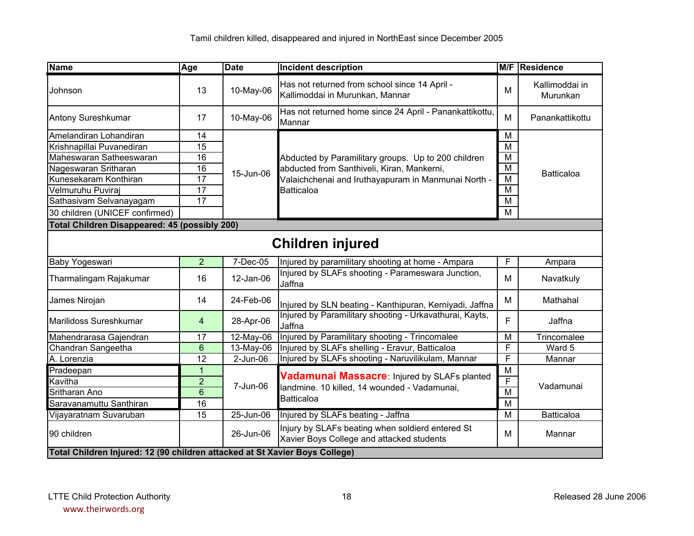| <b>Name</b>                                                                 | Age            | <b>Date</b> | <b>Incident description</b>                                                                   |                         | M/F Residence              |
|-----------------------------------------------------------------------------|----------------|-------------|-----------------------------------------------------------------------------------------------|-------------------------|----------------------------|
| Johnson                                                                     | 13             | 10-May-06   | Has not returned from school since 14 April -<br>Kallimoddai in Murunkan, Mannar              | M                       | Kallimoddai in<br>Murunkan |
| Antony Sureshkumar                                                          | 17             | 10-May-06   | Has not returned home since 24 April - Panankattikottu,<br>Mannar                             | M                       | Panankattikottu            |
| Amelandiran Lohandiran                                                      | 14             |             |                                                                                               |                         |                            |
| Krishnapillai Puvanediran                                                   | 15             |             |                                                                                               |                         |                            |
| Maheswaran Satheeswaran                                                     | 16             |             | Abducted by Paramilitary groups. Up to 200 children                                           | M                       |                            |
| Nageswaran Sritharan                                                        | 16             | 15-Jun-06   | abducted from Santhiveli, Kiran, Mankerni,                                                    | M                       | <b>Batticaloa</b>          |
| Kunesekaram Konthiran                                                       | 17             |             | Valaichchenai and Iruthayapuram in Manmunai North -                                           | $\overline{\mathsf{M}}$ |                            |
| Velmuruhu Puviraj                                                           | 17             |             | <b>Batticaloa</b>                                                                             | M                       |                            |
| Sathasivam Selvanayagam                                                     | 17             |             |                                                                                               | $\overline{\mathsf{M}}$ |                            |
| 30 children (UNICEF confirmed)                                              |                |             |                                                                                               | M                       |                            |
| <b>Total Children Disappeared: 45 (possibly 200)</b>                        |                |             |                                                                                               |                         |                            |
|                                                                             |                |             | <b>Children injured</b>                                                                       |                         |                            |
| Baby Yogeswari                                                              | $\overline{2}$ | 7-Dec-05    | Injured by paramilitary shooting at home - Ampara                                             | $\overline{F}$          | Ampara                     |
| Tharmalingam Rajakumar                                                      | 16             | 12-Jan-06   | Injured by SLAFs shooting - Parameswara Junction,<br>Jaffna                                   | M                       | Navatkuly                  |
| James Nirojan                                                               | 14             | 24-Feb-06   | Injured by SLN beating - Kanthipuran, Kerniyadi, Jaffna                                       | M                       | Mathahal                   |
| Marilidoss Sureshkumar                                                      | $\overline{4}$ | 28-Apr-06   | Injured by Paramilitary shooting - Urkavathurai, Kayts,<br>Jaffna                             | F.                      | Jaffna                     |
| Mahendrarasa Gajendran                                                      | 17             | 12-May-06   | Injured by Paramilitary shooting - Trincomalee                                                | M                       | Trincomalee                |
| Chandran Sangeetha                                                          | 6              | 13-May-06   | Injured by SLAFs shelling - Eravur, Batticaloa                                                | F                       | Ward 5                     |
| A. Lorenzia                                                                 | 12             | $2$ -Jun-06 | Injured by SLAFs shooting - Naruvilikulam, Mannar                                             | $\overline{\mathsf{F}}$ | Mannar                     |
| Pradeepan                                                                   | $\mathbf{1}$   |             | Vadamunai Massacre: Injured by SLAFs planted                                                  | M                       |                            |
| Kavitha                                                                     | $\overline{2}$ | 7-Jun-06    | landmine. 10 killed, 14 wounded - Vadamunai,                                                  | $\overline{F}$          | Vadamunai                  |
| Sritharan Ano                                                               | $6\phantom{1}$ |             | Batticaloa                                                                                    | $\overline{\mathsf{M}}$ |                            |
| Saravanamuttu Santhiran                                                     | 16             |             |                                                                                               | $\overline{\mathsf{M}}$ |                            |
| Vijayaratnam Suvaruban                                                      | 15             | 25-Jun-06   | Injured by SLAFs beating - Jaffna                                                             | M                       | <b>Batticaloa</b>          |
| 90 children                                                                 |                | 26-Jun-06   | Injury by SLAFs beating when soldierd entered St<br>Xavier Boys College and attacked students | M                       | Mannar                     |
| Total Children Injured: 12 (90 children attacked at St Xavier Boys College) |                |             |                                                                                               |                         |                            |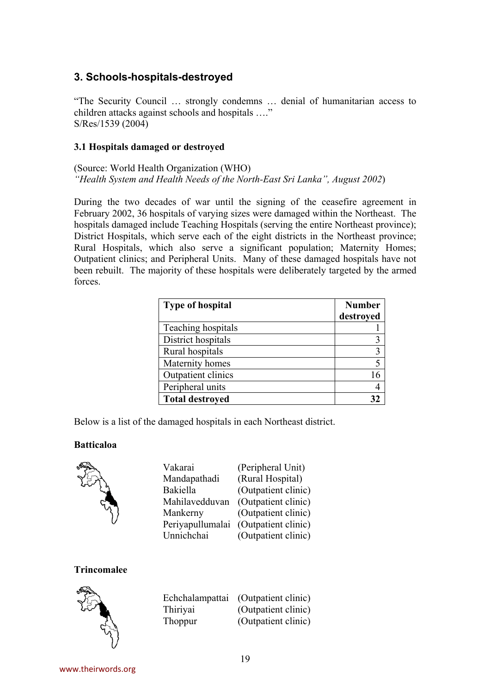#### **3. Schools-hospitals-destroyed**

"The Security Council … strongly condemns … denial of humanitarian access to children attacks against schools and hospitals …." S/Res/1539 (2004)

#### **3.1 Hospitals damaged or destroyed**

(Source: World Health Organization (WHO) *"Health System and Health Needs of the North-East Sri Lanka", August 2002*)

During the two decades of war until the signing of the ceasefire agreement in February 2002, 36 hospitals of varying sizes were damaged within the Northeast. The hospitals damaged include Teaching Hospitals (serving the entire Northeast province); District Hospitals, which serve each of the eight districts in the Northeast province; Rural Hospitals, which also serve a significant population; Maternity Homes; Outpatient clinics; and Peripheral Units. Many of these damaged hospitals have not been rebuilt. The majority of these hospitals were deliberately targeted by the armed forces.

| <b>Type of hospital</b> | <b>Number</b><br>destroyed |
|-------------------------|----------------------------|
| Teaching hospitals      |                            |
| District hospitals      |                            |
| Rural hospitals         |                            |
| Maternity homes         |                            |
| Outpatient clinics      | 16                         |
| Peripheral units        |                            |
| <b>Total destroyed</b>  |                            |

Below is a list of the damaged hospitals in each Northeast district.

#### **Batticaloa**



| Vakarai          | (Peripheral Unit)   |
|------------------|---------------------|
| Mandapathadi     | (Rural Hospital)    |
| Bakiella         | (Outpatient clinic) |
| Mahilavedduvan   | (Outpatient clinic) |
| Mankerny         | (Outpatient clinic) |
| Periyapullumalai | (Outpatient clinic) |
| Unnichchai       | (Outpatient clinic) |

#### **Trincomalee**



| Echchalampattai | (Outpatient clinic) |
|-----------------|---------------------|
| Thiriyai        | (Outpatient clinic) |
| Thoppur         | (Outpatient clinic) |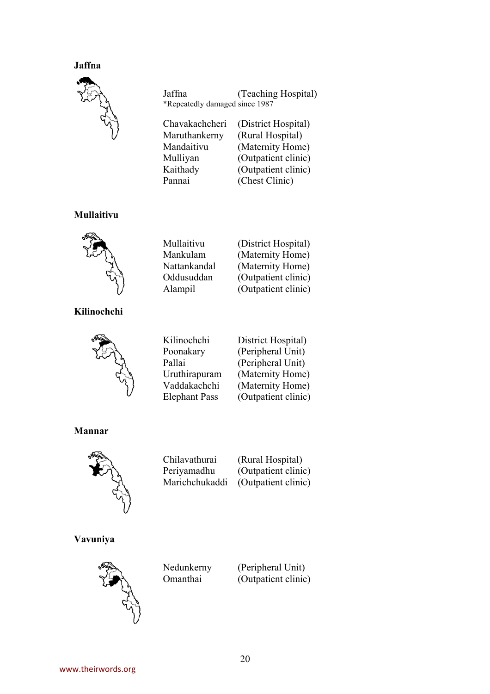#### **Jaffna**



Jaffna (Teaching Hospital) \*Repeatedly damaged since 1987

Pannai (Chest Clinic)

Chavakachcheri (District Hospital) Maruthankerny (Rural Hospital) Mandaitivu (Maternity Home) Mulliyan (Outpatient clinic) Kaithady (Outpatient clinic)

#### **Mullaitivu**



Mullaitivu (District Hospital) Mankulam (Maternity Home) Nattankandal (Maternity Home) Oddusuddan (Outpatient clinic) Alampil (Outpatient clinic)

#### **Kilinochchi**



| Kilinochchi          |
|----------------------|
| Poonakary            |
| Pallai               |
| Uruthirapuram        |
| Vaddakachchi         |
| <b>Elephant Pass</b> |

District Hospital) (Peripheral Unit) (Peripheral Unit) (Maternity Home) (Maternity Home) (Outpatient clinic)

#### **Mannar**



Chilavathurai (Rural Hospital) Periyamadhu (Outpatient clinic) Marichchukaddi (Outpatient clinic)

#### **Vavuniya**



Nedunkerny (Peripheral Unit) Omanthai (Outpatient clinic)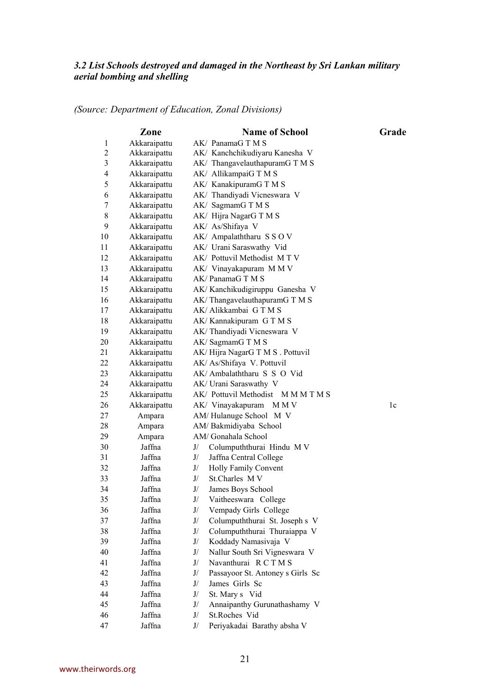#### *3.2 List Schools destroyed and damaged in the Northeast by Sri Lankan military aerial bombing and shelling*

|  |  | (Source: Department of Education, Zonal Divisions) |  |  |
|--|--|----------------------------------------------------|--|--|
|  |  |                                                    |  |  |

| Akkaraipattu<br>AK/ PanamaG T M S<br>$\mathbf{1}$<br>$\overline{c}$<br>AK/ Kanchchikudiyaru Kanesha V<br>Akkaraipattu<br>3<br>Akkaraipattu<br>AK/ ThangavelauthapuramG T M S<br>$\overline{\mathcal{L}}$<br>Akkaraipattu<br>AK/ AllikampaiG T M S<br>5<br>Akkaraipattu<br>AK/ KanakipuramG T M S<br>Akkaraipattu<br>AK/ Thandiyadi Vicneswara V<br>6<br>Akkaraipattu<br>AK/ SagmamG T M S<br>7<br>8<br>Akkaraipattu<br>AK/ Hijra NagarG T M S<br>9<br>Akkaraipattu<br>AK/ As/Shifaya V<br>10<br>Akkaraipattu<br>AK/ Ampalaththaru SSOV<br>Akkaraipattu<br>AK/ Urani Saraswathy Vid<br>11<br>12<br>Akkaraipattu<br>AK/ Pottuvil Methodist MTV<br>13<br>Akkaraipattu<br>AK/ Vinayakapuram M M V<br>14<br>Akkaraipattu<br>AK/PanamaGTMS<br>15<br>Akkaraipattu<br>AK/Kanchikudigiruppu Ganesha V<br>16<br>Akkaraipattu<br>AK/ThangavelauthapuramGTMS<br>AK/ Alikkambai GTMS<br>Akkaraipattu<br>17<br>18<br>Akkaraipattu<br>AK/Kannakipuram GTMS<br>19<br>Akkaraipattu<br>AK/Thandiyadi Vicneswara V<br>20<br>Akkaraipattu<br>AK/SagmamGTMS<br>21<br>Akkaraipattu<br>AK/Hijra NagarG T M S . Pottuvil<br>22<br>Akkaraipattu<br>AK/ As/Shifaya V. Pottuvil<br>23<br>Akkaraipattu<br>AK/ Ambalaththaru S S O Vid<br>Akkaraipattu<br>AK/ Urani Saraswathy V<br>24<br>25<br>Akkaraipattu<br>AK/ Pottuvil Methodist M M M T M S<br>Akkaraipattu<br>26<br>AK/ Vinayakapuram<br>M N V<br>1c<br>27<br>Ampara<br>AM/Hulanuge School M V<br>28<br>Ampara<br>AM/Bakmidiyaba School<br>29<br>AM/ Gonahala School<br>Ampara<br>30<br>Jaffna<br>Columpuththurai Hindu M V<br>J/<br>31<br>Jaffna<br>J/<br>Jaffna Central College<br>32<br>Jaffna<br>Holly Family Convent<br>J/<br>33<br>Jaffna<br>J/<br>St.Charles M V<br>Jaffna<br>34<br>J/<br>James Boys School<br>Jaffna<br>Vaitheeswara College<br>J/<br>35<br>36<br>Jaffna<br>J/<br>Vempady Girls College<br>37<br>Jaffna<br>J/<br>Columpuththurai St. Joseph s V<br>Columpuththurai Thuraiappa V<br>38<br>Jaffna<br>J/<br>39<br>Jaffna<br>J/<br>Koddady Namasivaja V<br>40<br>Jaffna<br>J/<br>Nallur South Sri Vigneswara V<br>41<br>Jaffna<br>J/<br>Navanthurai RCTMS | Zone | <b>Name of School</b> | Grade |
|----------------------------------------------------------------------------------------------------------------------------------------------------------------------------------------------------------------------------------------------------------------------------------------------------------------------------------------------------------------------------------------------------------------------------------------------------------------------------------------------------------------------------------------------------------------------------------------------------------------------------------------------------------------------------------------------------------------------------------------------------------------------------------------------------------------------------------------------------------------------------------------------------------------------------------------------------------------------------------------------------------------------------------------------------------------------------------------------------------------------------------------------------------------------------------------------------------------------------------------------------------------------------------------------------------------------------------------------------------------------------------------------------------------------------------------------------------------------------------------------------------------------------------------------------------------------------------------------------------------------------------------------------------------------------------------------------------------------------------------------------------------------------------------------------------------------------------------------------------------------------------------------------------------------------------------------------------------------------------------------------------------------------------------------------------------------------------------------------------|------|-----------------------|-------|
|                                                                                                                                                                                                                                                                                                                                                                                                                                                                                                                                                                                                                                                                                                                                                                                                                                                                                                                                                                                                                                                                                                                                                                                                                                                                                                                                                                                                                                                                                                                                                                                                                                                                                                                                                                                                                                                                                                                                                                                                                                                                                                          |      |                       |       |
|                                                                                                                                                                                                                                                                                                                                                                                                                                                                                                                                                                                                                                                                                                                                                                                                                                                                                                                                                                                                                                                                                                                                                                                                                                                                                                                                                                                                                                                                                                                                                                                                                                                                                                                                                                                                                                                                                                                                                                                                                                                                                                          |      |                       |       |
|                                                                                                                                                                                                                                                                                                                                                                                                                                                                                                                                                                                                                                                                                                                                                                                                                                                                                                                                                                                                                                                                                                                                                                                                                                                                                                                                                                                                                                                                                                                                                                                                                                                                                                                                                                                                                                                                                                                                                                                                                                                                                                          |      |                       |       |
|                                                                                                                                                                                                                                                                                                                                                                                                                                                                                                                                                                                                                                                                                                                                                                                                                                                                                                                                                                                                                                                                                                                                                                                                                                                                                                                                                                                                                                                                                                                                                                                                                                                                                                                                                                                                                                                                                                                                                                                                                                                                                                          |      |                       |       |
|                                                                                                                                                                                                                                                                                                                                                                                                                                                                                                                                                                                                                                                                                                                                                                                                                                                                                                                                                                                                                                                                                                                                                                                                                                                                                                                                                                                                                                                                                                                                                                                                                                                                                                                                                                                                                                                                                                                                                                                                                                                                                                          |      |                       |       |
|                                                                                                                                                                                                                                                                                                                                                                                                                                                                                                                                                                                                                                                                                                                                                                                                                                                                                                                                                                                                                                                                                                                                                                                                                                                                                                                                                                                                                                                                                                                                                                                                                                                                                                                                                                                                                                                                                                                                                                                                                                                                                                          |      |                       |       |
|                                                                                                                                                                                                                                                                                                                                                                                                                                                                                                                                                                                                                                                                                                                                                                                                                                                                                                                                                                                                                                                                                                                                                                                                                                                                                                                                                                                                                                                                                                                                                                                                                                                                                                                                                                                                                                                                                                                                                                                                                                                                                                          |      |                       |       |
|                                                                                                                                                                                                                                                                                                                                                                                                                                                                                                                                                                                                                                                                                                                                                                                                                                                                                                                                                                                                                                                                                                                                                                                                                                                                                                                                                                                                                                                                                                                                                                                                                                                                                                                                                                                                                                                                                                                                                                                                                                                                                                          |      |                       |       |
|                                                                                                                                                                                                                                                                                                                                                                                                                                                                                                                                                                                                                                                                                                                                                                                                                                                                                                                                                                                                                                                                                                                                                                                                                                                                                                                                                                                                                                                                                                                                                                                                                                                                                                                                                                                                                                                                                                                                                                                                                                                                                                          |      |                       |       |
|                                                                                                                                                                                                                                                                                                                                                                                                                                                                                                                                                                                                                                                                                                                                                                                                                                                                                                                                                                                                                                                                                                                                                                                                                                                                                                                                                                                                                                                                                                                                                                                                                                                                                                                                                                                                                                                                                                                                                                                                                                                                                                          |      |                       |       |
|                                                                                                                                                                                                                                                                                                                                                                                                                                                                                                                                                                                                                                                                                                                                                                                                                                                                                                                                                                                                                                                                                                                                                                                                                                                                                                                                                                                                                                                                                                                                                                                                                                                                                                                                                                                                                                                                                                                                                                                                                                                                                                          |      |                       |       |
|                                                                                                                                                                                                                                                                                                                                                                                                                                                                                                                                                                                                                                                                                                                                                                                                                                                                                                                                                                                                                                                                                                                                                                                                                                                                                                                                                                                                                                                                                                                                                                                                                                                                                                                                                                                                                                                                                                                                                                                                                                                                                                          |      |                       |       |
|                                                                                                                                                                                                                                                                                                                                                                                                                                                                                                                                                                                                                                                                                                                                                                                                                                                                                                                                                                                                                                                                                                                                                                                                                                                                                                                                                                                                                                                                                                                                                                                                                                                                                                                                                                                                                                                                                                                                                                                                                                                                                                          |      |                       |       |
|                                                                                                                                                                                                                                                                                                                                                                                                                                                                                                                                                                                                                                                                                                                                                                                                                                                                                                                                                                                                                                                                                                                                                                                                                                                                                                                                                                                                                                                                                                                                                                                                                                                                                                                                                                                                                                                                                                                                                                                                                                                                                                          |      |                       |       |
|                                                                                                                                                                                                                                                                                                                                                                                                                                                                                                                                                                                                                                                                                                                                                                                                                                                                                                                                                                                                                                                                                                                                                                                                                                                                                                                                                                                                                                                                                                                                                                                                                                                                                                                                                                                                                                                                                                                                                                                                                                                                                                          |      |                       |       |
|                                                                                                                                                                                                                                                                                                                                                                                                                                                                                                                                                                                                                                                                                                                                                                                                                                                                                                                                                                                                                                                                                                                                                                                                                                                                                                                                                                                                                                                                                                                                                                                                                                                                                                                                                                                                                                                                                                                                                                                                                                                                                                          |      |                       |       |
|                                                                                                                                                                                                                                                                                                                                                                                                                                                                                                                                                                                                                                                                                                                                                                                                                                                                                                                                                                                                                                                                                                                                                                                                                                                                                                                                                                                                                                                                                                                                                                                                                                                                                                                                                                                                                                                                                                                                                                                                                                                                                                          |      |                       |       |
|                                                                                                                                                                                                                                                                                                                                                                                                                                                                                                                                                                                                                                                                                                                                                                                                                                                                                                                                                                                                                                                                                                                                                                                                                                                                                                                                                                                                                                                                                                                                                                                                                                                                                                                                                                                                                                                                                                                                                                                                                                                                                                          |      |                       |       |
|                                                                                                                                                                                                                                                                                                                                                                                                                                                                                                                                                                                                                                                                                                                                                                                                                                                                                                                                                                                                                                                                                                                                                                                                                                                                                                                                                                                                                                                                                                                                                                                                                                                                                                                                                                                                                                                                                                                                                                                                                                                                                                          |      |                       |       |
|                                                                                                                                                                                                                                                                                                                                                                                                                                                                                                                                                                                                                                                                                                                                                                                                                                                                                                                                                                                                                                                                                                                                                                                                                                                                                                                                                                                                                                                                                                                                                                                                                                                                                                                                                                                                                                                                                                                                                                                                                                                                                                          |      |                       |       |
|                                                                                                                                                                                                                                                                                                                                                                                                                                                                                                                                                                                                                                                                                                                                                                                                                                                                                                                                                                                                                                                                                                                                                                                                                                                                                                                                                                                                                                                                                                                                                                                                                                                                                                                                                                                                                                                                                                                                                                                                                                                                                                          |      |                       |       |
|                                                                                                                                                                                                                                                                                                                                                                                                                                                                                                                                                                                                                                                                                                                                                                                                                                                                                                                                                                                                                                                                                                                                                                                                                                                                                                                                                                                                                                                                                                                                                                                                                                                                                                                                                                                                                                                                                                                                                                                                                                                                                                          |      |                       |       |
|                                                                                                                                                                                                                                                                                                                                                                                                                                                                                                                                                                                                                                                                                                                                                                                                                                                                                                                                                                                                                                                                                                                                                                                                                                                                                                                                                                                                                                                                                                                                                                                                                                                                                                                                                                                                                                                                                                                                                                                                                                                                                                          |      |                       |       |
|                                                                                                                                                                                                                                                                                                                                                                                                                                                                                                                                                                                                                                                                                                                                                                                                                                                                                                                                                                                                                                                                                                                                                                                                                                                                                                                                                                                                                                                                                                                                                                                                                                                                                                                                                                                                                                                                                                                                                                                                                                                                                                          |      |                       |       |
|                                                                                                                                                                                                                                                                                                                                                                                                                                                                                                                                                                                                                                                                                                                                                                                                                                                                                                                                                                                                                                                                                                                                                                                                                                                                                                                                                                                                                                                                                                                                                                                                                                                                                                                                                                                                                                                                                                                                                                                                                                                                                                          |      |                       |       |
|                                                                                                                                                                                                                                                                                                                                                                                                                                                                                                                                                                                                                                                                                                                                                                                                                                                                                                                                                                                                                                                                                                                                                                                                                                                                                                                                                                                                                                                                                                                                                                                                                                                                                                                                                                                                                                                                                                                                                                                                                                                                                                          |      |                       |       |
|                                                                                                                                                                                                                                                                                                                                                                                                                                                                                                                                                                                                                                                                                                                                                                                                                                                                                                                                                                                                                                                                                                                                                                                                                                                                                                                                                                                                                                                                                                                                                                                                                                                                                                                                                                                                                                                                                                                                                                                                                                                                                                          |      |                       |       |
|                                                                                                                                                                                                                                                                                                                                                                                                                                                                                                                                                                                                                                                                                                                                                                                                                                                                                                                                                                                                                                                                                                                                                                                                                                                                                                                                                                                                                                                                                                                                                                                                                                                                                                                                                                                                                                                                                                                                                                                                                                                                                                          |      |                       |       |
|                                                                                                                                                                                                                                                                                                                                                                                                                                                                                                                                                                                                                                                                                                                                                                                                                                                                                                                                                                                                                                                                                                                                                                                                                                                                                                                                                                                                                                                                                                                                                                                                                                                                                                                                                                                                                                                                                                                                                                                                                                                                                                          |      |                       |       |
|                                                                                                                                                                                                                                                                                                                                                                                                                                                                                                                                                                                                                                                                                                                                                                                                                                                                                                                                                                                                                                                                                                                                                                                                                                                                                                                                                                                                                                                                                                                                                                                                                                                                                                                                                                                                                                                                                                                                                                                                                                                                                                          |      |                       |       |
|                                                                                                                                                                                                                                                                                                                                                                                                                                                                                                                                                                                                                                                                                                                                                                                                                                                                                                                                                                                                                                                                                                                                                                                                                                                                                                                                                                                                                                                                                                                                                                                                                                                                                                                                                                                                                                                                                                                                                                                                                                                                                                          |      |                       |       |
|                                                                                                                                                                                                                                                                                                                                                                                                                                                                                                                                                                                                                                                                                                                                                                                                                                                                                                                                                                                                                                                                                                                                                                                                                                                                                                                                                                                                                                                                                                                                                                                                                                                                                                                                                                                                                                                                                                                                                                                                                                                                                                          |      |                       |       |
|                                                                                                                                                                                                                                                                                                                                                                                                                                                                                                                                                                                                                                                                                                                                                                                                                                                                                                                                                                                                                                                                                                                                                                                                                                                                                                                                                                                                                                                                                                                                                                                                                                                                                                                                                                                                                                                                                                                                                                                                                                                                                                          |      |                       |       |
|                                                                                                                                                                                                                                                                                                                                                                                                                                                                                                                                                                                                                                                                                                                                                                                                                                                                                                                                                                                                                                                                                                                                                                                                                                                                                                                                                                                                                                                                                                                                                                                                                                                                                                                                                                                                                                                                                                                                                                                                                                                                                                          |      |                       |       |
|                                                                                                                                                                                                                                                                                                                                                                                                                                                                                                                                                                                                                                                                                                                                                                                                                                                                                                                                                                                                                                                                                                                                                                                                                                                                                                                                                                                                                                                                                                                                                                                                                                                                                                                                                                                                                                                                                                                                                                                                                                                                                                          |      |                       |       |
|                                                                                                                                                                                                                                                                                                                                                                                                                                                                                                                                                                                                                                                                                                                                                                                                                                                                                                                                                                                                                                                                                                                                                                                                                                                                                                                                                                                                                                                                                                                                                                                                                                                                                                                                                                                                                                                                                                                                                                                                                                                                                                          |      |                       |       |
|                                                                                                                                                                                                                                                                                                                                                                                                                                                                                                                                                                                                                                                                                                                                                                                                                                                                                                                                                                                                                                                                                                                                                                                                                                                                                                                                                                                                                                                                                                                                                                                                                                                                                                                                                                                                                                                                                                                                                                                                                                                                                                          |      |                       |       |
|                                                                                                                                                                                                                                                                                                                                                                                                                                                                                                                                                                                                                                                                                                                                                                                                                                                                                                                                                                                                                                                                                                                                                                                                                                                                                                                                                                                                                                                                                                                                                                                                                                                                                                                                                                                                                                                                                                                                                                                                                                                                                                          |      |                       |       |
|                                                                                                                                                                                                                                                                                                                                                                                                                                                                                                                                                                                                                                                                                                                                                                                                                                                                                                                                                                                                                                                                                                                                                                                                                                                                                                                                                                                                                                                                                                                                                                                                                                                                                                                                                                                                                                                                                                                                                                                                                                                                                                          |      |                       |       |
|                                                                                                                                                                                                                                                                                                                                                                                                                                                                                                                                                                                                                                                                                                                                                                                                                                                                                                                                                                                                                                                                                                                                                                                                                                                                                                                                                                                                                                                                                                                                                                                                                                                                                                                                                                                                                                                                                                                                                                                                                                                                                                          |      |                       |       |
|                                                                                                                                                                                                                                                                                                                                                                                                                                                                                                                                                                                                                                                                                                                                                                                                                                                                                                                                                                                                                                                                                                                                                                                                                                                                                                                                                                                                                                                                                                                                                                                                                                                                                                                                                                                                                                                                                                                                                                                                                                                                                                          |      |                       |       |
| 42<br>Jaffna<br>J/<br>Passayoor St. Antoney s Girls Sc                                                                                                                                                                                                                                                                                                                                                                                                                                                                                                                                                                                                                                                                                                                                                                                                                                                                                                                                                                                                                                                                                                                                                                                                                                                                                                                                                                                                                                                                                                                                                                                                                                                                                                                                                                                                                                                                                                                                                                                                                                                   |      |                       |       |
| 43<br>Jaffna<br>James Girls Sc<br>J/                                                                                                                                                                                                                                                                                                                                                                                                                                                                                                                                                                                                                                                                                                                                                                                                                                                                                                                                                                                                                                                                                                                                                                                                                                                                                                                                                                                                                                                                                                                                                                                                                                                                                                                                                                                                                                                                                                                                                                                                                                                                     |      |                       |       |
| 44<br>Jaffna<br>J/<br>St. Mary s Vid                                                                                                                                                                                                                                                                                                                                                                                                                                                                                                                                                                                                                                                                                                                                                                                                                                                                                                                                                                                                                                                                                                                                                                                                                                                                                                                                                                                                                                                                                                                                                                                                                                                                                                                                                                                                                                                                                                                                                                                                                                                                     |      |                       |       |
| 45<br>Jaffna<br>Annaipanthy Gurunathashamy V<br>J/                                                                                                                                                                                                                                                                                                                                                                                                                                                                                                                                                                                                                                                                                                                                                                                                                                                                                                                                                                                                                                                                                                                                                                                                                                                                                                                                                                                                                                                                                                                                                                                                                                                                                                                                                                                                                                                                                                                                                                                                                                                       |      |                       |       |
| St.Roches Vid<br>46<br>Jaffna<br>J/                                                                                                                                                                                                                                                                                                                                                                                                                                                                                                                                                                                                                                                                                                                                                                                                                                                                                                                                                                                                                                                                                                                                                                                                                                                                                                                                                                                                                                                                                                                                                                                                                                                                                                                                                                                                                                                                                                                                                                                                                                                                      |      |                       |       |
| 47<br>Jaffna<br>Periyakadai Barathy absha V<br>J/                                                                                                                                                                                                                                                                                                                                                                                                                                                                                                                                                                                                                                                                                                                                                                                                                                                                                                                                                                                                                                                                                                                                                                                                                                                                                                                                                                                                                                                                                                                                                                                                                                                                                                                                                                                                                                                                                                                                                                                                                                                        |      |                       |       |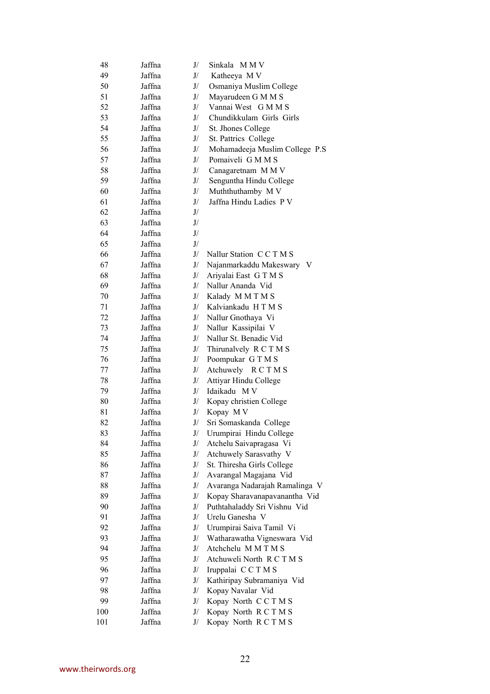| 48  | Jaffna | J/                                                  | Sinkala MMV                                |
|-----|--------|-----------------------------------------------------|--------------------------------------------|
| 49  | Jaffna | J/                                                  | Katheeya M V                               |
| 50  | Jaffna | J/                                                  | Osmaniya Muslim College                    |
| 51  | Jaffna | J/                                                  | Mayarudeen G M M S                         |
| 52  | Jaffna | J/                                                  | Vannai West G M M S                        |
| 53  | Jaffna | J/                                                  | Chundikkulam Girls Girls                   |
| 54  | Jaffna | J/                                                  | St. Jhones College                         |
| 55  | Jaffna | J/                                                  | St. Pattrics College                       |
| 56  | Jaffna | J/                                                  | Mohamadeeja Muslim College P.S             |
| 57  | Jaffna | J/                                                  | Pomaiveli G M M S                          |
| 58  | Jaffna | J/                                                  | Canagaretnam M M V                         |
| 59  | Jaffna | J/                                                  | Senguntha Hindu College                    |
| 60  | Jaffna | J/                                                  | Muththuthamby M V                          |
| 61  | Jaffna | J/                                                  | Jaffna Hindu Ladies P V                    |
| 62  | Jaffna | $\mathrm{J}/% \mathcal{S}$                          |                                            |
| 63  | Jaffna | $\mathrm{J}/% \mathcal{S}$                          |                                            |
| 64  | Jaffna | $\mathrm{J}/% \mathcal{S}$                          |                                            |
| 65  | Jaffna | J/                                                  |                                            |
| 66  | Jaffna | J/                                                  | Nallur Station CCTMS                       |
| 67  | Jaffna | J/                                                  | Najanmarkaddu Makeswary V                  |
| 68  | Jaffna | J/                                                  |                                            |
| 69  | Jaffna | J/                                                  | Ariyalai East G T M S<br>Nallur Ananda Vid |
|     |        |                                                     |                                            |
| 70  | Jaffna | J/                                                  | Kalady MMTMS                               |
| 71  | Jaffna | J/                                                  | Kalviankadu HTMS                           |
| 72  | Jaffna | J/                                                  | Nallur Gnothaya Vi                         |
| 73  | Jaffna | J/                                                  | Nallur Kassipilai V                        |
| 74  | Jaffna | J/                                                  | Nallur St. Benadic Vid                     |
| 75  | Jaffna | J/                                                  | Thirunalvely R C T M S                     |
| 76  | Jaffna | J/                                                  | Poompukar GTMS                             |
| 77  | Jaffna | J/                                                  | Atchuwely RCTMS                            |
| 78  | Jaffna | J/                                                  | Attiyar Hindu College                      |
| 79  | Jaffna | J/                                                  | Idaikadu MV                                |
| 80  | Jaffna | J/                                                  | Kopay christien College                    |
| 81  | Jaffna | J/                                                  | Kopay MV                                   |
| 82  | Jaffna | J/                                                  | Sri Somaskanda College                     |
| 83  | Jaffna | $\mathrm{J}/% \mathcal{S}=\mathrm{J}/% \mathcal{S}$ | Urumpirai Hindu College                    |
| 84  | Jaffna | ${\mathrm J}/$                                      | Atchelu Saivapragasa Vi                    |
| 85  | Jaffna | J/                                                  | Atchuwely Sarasvathy V                     |
| 86  | Jaffna | J/                                                  | St. Thiresha Girls College                 |
| 87  | Jaffna | J/                                                  | Avarangal Magajana Vid                     |
| 88  | Jaffna | J/                                                  | Avaranga Nadarajah Ramalinga V             |
| 89  | Jaffna | J/                                                  | Kopay Sharavanapavanantha Vid              |
| 90  | Jaffna | J/                                                  | Puthtahaladdy Sri Vishnu Vid               |
| 91  | Jaffna | J/                                                  | Urelu Ganesha V                            |
| 92  | Jaffna | J/                                                  | Urumpirai Saiva Tamil Vi                   |
| 93  | Jaffna | J/                                                  | Watharawatha Vigneswara Vid                |
| 94  | Jaffna | J/                                                  | Atchchelu MMTMS                            |
| 95  | Jaffna | J/                                                  | Atchuweli North R C T M S                  |
| 96  | Jaffna | J/                                                  | Iruppalai CCTMS                            |
| 97  | Jaffna | J/                                                  | Kathiripay Subramaniya Vid                 |
| 98  | Jaffna | J/                                                  | Kopay Navalar Vid                          |
| 99  | Jaffna | J/                                                  | Kopay North CCTMS                          |
| 100 | Jaffna | ${\mathrm J}/$                                      | Kopay North RCTMS                          |
| 101 | Jaffna | J/                                                  | Kopay North RCTMS                          |
|     |        |                                                     |                                            |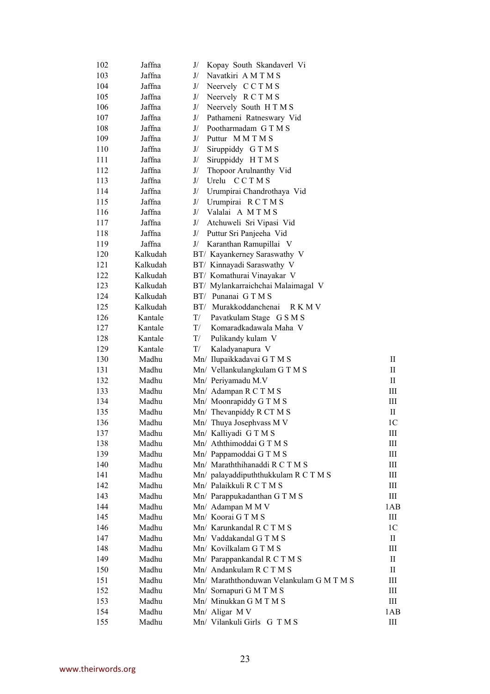| 102 | Jaffna   | Kopay South Skandaverl Vi<br>J/          |                                  |
|-----|----------|------------------------------------------|----------------------------------|
| 103 | Jaffna   | Navatkiri AMTMS<br>J/                    |                                  |
| 104 | Jaffna   | J/<br>Neervely CCTMS                     |                                  |
| 105 | Jaffna   | J/<br>Neervely RCTMS                     |                                  |
| 106 | Jaffna   | Neervely South HTMS<br>J/                |                                  |
| 107 | Jaffna   | J/<br>Pathameni Ratneswary Vid           |                                  |
| 108 | Jaffna   | Pootharmadam GTMS<br>J/                  |                                  |
| 109 | Jaffna   | Puttur MMTMS<br>J/                       |                                  |
| 110 | Jaffna   | J/<br>Siruppiddy G T M S                 |                                  |
| 111 | Jaffna   | Siruppiddy H T M S<br>J/                 |                                  |
| 112 | Jaffna   | J/<br>Thopoor Arulnanthy Vid             |                                  |
| 113 | Jaffna   | Urelu CCTMS<br>J/                        |                                  |
| 114 | Jaffna   | Urumpirai Chandrothaya Vid<br>J/         |                                  |
| 115 | Jaffna   | Urumpirai RCTMS<br>J/                    |                                  |
| 116 | Jaffna   | J/ Valalai A MTMS                        |                                  |
| 117 | Jaffna   | Atchuweli Sri Vipasi Vid<br>J/           |                                  |
| 118 | Jaffna   | J/<br>Puttur Sri Panjeeha Vid            |                                  |
| 119 | Jaffna   | Karanthan Ramupillai V<br>J/             |                                  |
| 120 | Kalkudah | BT/ Kayankerney Saraswathy V             |                                  |
| 121 | Kalkudah | BT/ Kinnayadi Saraswathy V               |                                  |
| 122 | Kalkudah |                                          |                                  |
|     |          | BT/ Komathurai Vinayakar V               |                                  |
| 123 | Kalkudah | BT/ Mylankarraichchai Malaimagal V       |                                  |
| 124 | Kalkudah | BT/ Punanai GTMS                         |                                  |
| 125 | Kalkudah | BT/ Murakkoddanchenai<br>R K M V         |                                  |
| 126 | Kantale  | T/<br>Pavatkulam Stage G S M S           |                                  |
| 127 | Kantale  | Komaradkadawala Maha V<br>T/             |                                  |
| 128 | Kantale  | T/<br>Pulikandy kulam V                  |                                  |
| 129 | Kantale  | T/<br>Kaladyanapura V                    |                                  |
| 130 | Madhu    | Mn/ Ilupaikkadavai GTMS                  | П                                |
| 131 | Madhu    | Mn/ Vellankulangkulam GTMS               | П                                |
| 132 | Madhu    | Mn/ Periyamadu M.V                       | $\rm{II}$                        |
| 133 | Madhu    | Mn/ Adampan R C T M S                    | Ш                                |
| 134 | Madhu    | Mn/ Moonrapiddy G T M S                  | Ш                                |
| 135 | Madhu    | Mn/ Thevanpiddy R CT M S                 | П                                |
| 136 | Madhu    | Mn/ Thuya Josephyass M V                 | 1 <sup>C</sup>                   |
| 137 | Madhu    | Mn/ Kalliyadi GTMS                       | $\mathop{\rm III}$               |
| 138 | Madhu    | Mn/ Aththimoddai G T M S                 | $\rm III$                        |
| 139 | Madhu    | Mn/ Pappamoddai G T M S                  | Ш                                |
| 140 | Madhu    | Mn/ Maraththihanaddi R C T M S           | III                              |
| 141 | Madhu    | Mn/ palayaddipuththukkulam R C T M S     | Ш                                |
| 142 | Madhu    | Mn/ Palaikkuli R C T M S                 | Ш                                |
| 143 | Madhu    | Mn/ Parappukadanthan G T M S             | Ш                                |
| 144 | Madhu    | Mn/ Adampan M M V                        | 1AB                              |
| 145 | Madhu    | Mn/ Koorai G T M S                       | $\rm III$                        |
| 146 | Madhu    | Mn/ Karunkandal R C T M S                | 1 <sup>C</sup>                   |
| 147 | Madhu    | Mn/ Vaddakandal GTMS                     | $\rm{II}$                        |
| 148 | Madhu    | Mn/ Kovilkalam G T M S                   | Ш                                |
| 149 | Madhu    | Mn/ Parappankandal R C T M S             | П                                |
| 150 | Madhu    | Mn/ Andankulam R C T M S                 | П                                |
| 151 | Madhu    | Mn/ Maraththonduwan Velankulam G M T M S | Ш                                |
| 152 | Madhu    | Mn/ Sornapuri G M T M S                  | Ш                                |
| 153 | Madhu    | Mn/ Minukkan G M T M S                   | $\mathop{\mathrm{III}}\nolimits$ |
| 154 | Madhu    | Mn/ Aligar M V                           | 1AB                              |
| 155 | Madhu    | Mn/ Vilankuli Girls G T M S              | Ш                                |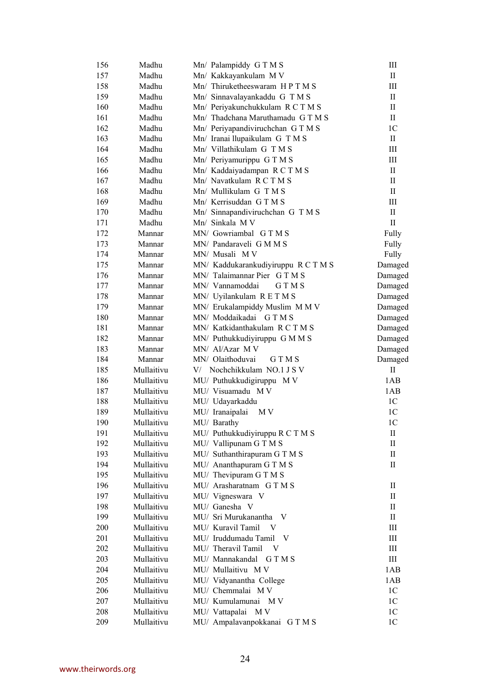| 156 | Madhu      | Mn/ Palampiddy GTMS                 | III                        |
|-----|------------|-------------------------------------|----------------------------|
| 157 | Madhu      | Mn/ Kakkayankulam M V               | $\mathbf{I}$               |
| 158 | Madhu      | Mn/ Thiruketheeswaram HPTMS         | Ш                          |
| 159 | Madhu      | Mn/ Sinnavalayankaddu G T M S       | П                          |
| 160 | Madhu      | Mn/ Periyakunchukkulam R C T M S    | $\mathbf{I}$               |
| 161 | Madhu      | Mn/ Thadchana Maruthamadu G T M S   | $\rm{II}$                  |
| 162 | Madhu      | Mn/ Periyapandiviruchchan GTMS      | 1 <sup>C</sup>             |
| 163 | Madhu      | Mn/ Iranai llupaikulam G T M S      | $\rm{II}$                  |
| 164 | Madhu      | Mn/ Villathikulam G T M S           | Ш                          |
| 165 | Madhu      | Mn/ Periyamurippu GTMS              | Ш                          |
| 166 | Madhu      | Mn/ Kaddaiyadampan R C T M S        | $\rm II$                   |
| 167 | Madhu      | Mn/ Navatkulam R C T M S            | $_{\rm II}$                |
| 168 | Madhu      | Mn/ Mullikulam G T M S              | $\rm{II}$                  |
| 169 | Madhu      | Mn/ Kerrisuddan GTMS                | Ш                          |
| 170 | Madhu      | Mn/ Sinnapandiviruchchan G T M S    | $\rm{II}$                  |
| 171 | Madhu      | Mn/ Sinkala M V                     | $\mathbf{I}$               |
| 172 | Mannar     | MN/ Gowriambal GTMS                 | Fully                      |
| 173 | Mannar     | MN/ Pandaraveli G M M S             | Fully                      |
| 174 | Mannar     | MN/ Musali MV                       | Fully                      |
| 175 | Mannar     | MN/ Kaddukarankudiyiruppu R C T M S | Damaged                    |
| 176 | Mannar     | MN/ Talaimannar Pier G T M S        | Damaged                    |
| 177 | Mannar     | MN/ Vannamoddai<br>G T M S          | Damaged                    |
| 178 | Mannar     | MN/ Uyilankulam RETMS               | Damaged                    |
| 179 | Mannar     | MN/ Erukalampiddy Muslim M M V      | Damaged                    |
| 180 | Mannar     | MN/ Moddaikadai GTMS                | Damaged                    |
| 181 | Mannar     | MN/ Katkidanthakulam R C T M S      | Damaged                    |
| 182 | Mannar     | MN/ Puthukkudiyiruppu G M M S       | Damaged                    |
| 183 | Mannar     | MN/ Al/Azar M V                     | Damaged                    |
| 184 | Mannar     | MN/ Olaithoduvai<br><b>GTMS</b>     | Damaged                    |
| 185 | Mullaitivu | V/ Nochchikkulam NO.1 J S V         | $\mathbf{I}$               |
| 186 | Mullaitivu | MU/ Puthukkudigiruppu MV            | 1AB                        |
| 187 | Mullaitivu | MU/ Visuamadu MV                    | 1AB                        |
| 188 | Mullaitivu | MU/ Udayarkaddu                     | 1 <sup>C</sup>             |
| 189 | Mullaitivu | MU/ Iranaipalai<br>M V              | 1 <sub>C</sub>             |
| 190 | Mullaitivu | MU/ Barathy                         | 1 <sup>C</sup>             |
| 191 | Mullaitivu | MU/ Puthukkudiyiruppu R C T M S     | $\mathop{\rm II}\nolimits$ |
| 192 | Mullaitivu | MU/ Vallipunam G T M S              | П                          |
| 193 | Mullaitivu | MU/ Suthanthirapuram G T M S        | П                          |
| 194 | Mullaitivu | MU/ Ananthapuram G T M S            | П                          |
| 195 | Mullaitivu | MU/ Thevipuram G T M S              |                            |
| 196 | Mullaitivu | MU/ Arasharatnam GTMS               | П                          |
| 197 | Mullaitivu | MU/ Vigneswara V                    | П                          |
| 198 | Mullaitivu | MU/ Ganesha V                       | П                          |
| 199 | Mullaitivu | MU/ Sri Murukanantha<br>V           | П                          |
| 200 | Mullaitivu | MU/ Kuravil Tamil<br>V              | III                        |
| 201 | Mullaitivu | MU/ Iruddumadu Tamil<br>V           | Ш                          |
| 202 | Mullaitivu | MU/ Theravil Tamil<br>– V           | Ш                          |
| 203 | Mullaitivu | MU/ Mannakandal<br><b>GTMS</b>      | Ш                          |
| 204 | Mullaitivu | MU/ Mullaitivu MV                   | 1AB                        |
| 205 | Mullaitivu | MU/ Vidyanantha College             | 1AB                        |
| 206 | Mullaitivu | MU/ Chemmalai M V                   | 1 <sup>C</sup>             |
| 207 | Mullaitivu | MU/ Kumulamunai<br>M V              | 1 <sup>C</sup>             |
| 208 | Mullaitivu | MU/ Vattapalai<br>M V               | 1 <sup>C</sup>             |
| 209 | Mullaitivu | MU/ Ampalavanpokkanai GTMS          | 1 <sup>C</sup>             |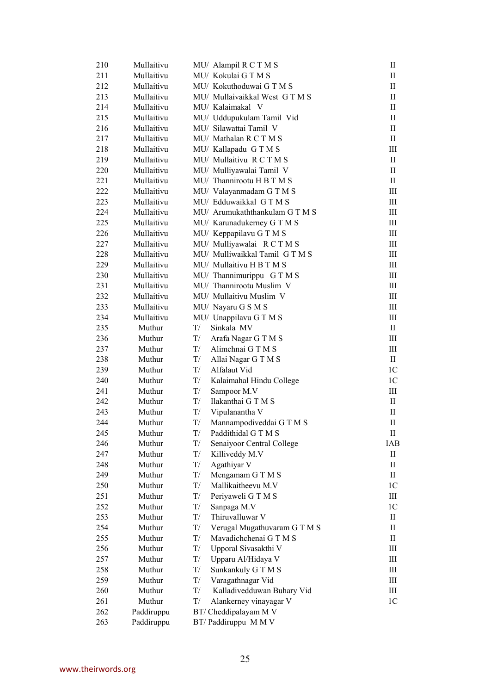| 210 | Mullaitivu | MU/ Alampil R C T M S            | П              |
|-----|------------|----------------------------------|----------------|
| 211 | Mullaitivu | MU/ Kokulai GTMS                 | $\mathbf{I}$   |
| 212 | Mullaitivu | MU/ Kokuthoduwai G T M S         | П              |
| 213 | Mullaitivu | MU/ Mullaivaikkal West GTMS      | П              |
| 214 | Mullaitivu | MU/ Kalaimakal V                 | П              |
| 215 | Mullaitivu | MU/ Uddupukulam Tamil Vid        | П              |
| 216 | Mullaitivu | MU/ Silawattai Tamil V           | П              |
| 217 | Mullaitivu | MU/ Mathalan R C T M S           | П              |
| 218 | Mullaitivu | MU/ Kallapadu GTMS               | Ш              |
| 219 | Mullaitivu | MU/ Mullaitivu RCTMS             | П              |
| 220 | Mullaitivu | MU/ Mulliyawalai Tamil V         | П              |
| 221 | Mullaitivu | MU/ Thannirootu H B T M S        | П              |
| 222 | Mullaitivu | MU/ Valayanmadam G T M S         | Ш              |
| 223 | Mullaitivu | MU/ Edduwaikkal GTMS             | III            |
| 224 | Mullaitivu | MU/ Arumukaththankulam GTMS      | Ш              |
| 225 | Mullaitivu | MU/ Karunadukerney G T M S       | Ш              |
| 226 | Mullaitivu | MU/ Keppapilavu G T M S          | Ш              |
| 227 | Mullaitivu | MU/ Mulliyawalai RCTMS           | Ш              |
| 228 | Mullaitivu | MU/ Mulliwaikkal Tamil GTMS      | Ш              |
| 229 | Mullaitivu | MU/ Mullaitivu H B T M S         | Ш              |
| 230 | Mullaitivu | MU/ Thannimurippu G T M S        | Ш              |
| 231 | Mullaitivu | MU/ Thannirootu Muslim V         | III            |
| 232 | Mullaitivu | MU/ Mullaitivu Muslim V          | Ш              |
| 233 | Mullaitivu | MU/ Nayaru G S M S               | Ш              |
| 234 | Mullaitivu | MU/ Unappilavu G T M S           | Ш              |
| 235 | Muthur     | T/<br>Sinkala MV                 | $\mathbf{I}$   |
| 236 | Muthur     | T/<br>Arafa Nagar G T M S        | Ш              |
| 237 | Muthur     | T/<br>Alimchnai G T M S          | Ш              |
| 238 | Muthur     | T/<br>Allai Nagar G T M S        | П              |
| 239 | Muthur     | T/<br>Alfalaut Vid               | 1C             |
| 240 | Muthur     | T/<br>Kalaimahal Hindu College   | 1 <sup>C</sup> |
| 241 | Muthur     | T/<br>Sampoor M.V                | Ш              |
| 242 | Muthur     | Ilakanthai GTMS<br>T/            | П              |
| 243 | Muthur     | T/<br>Vipulanantha V             | $\mathbf{I}$   |
| 244 | Muthur     | T/<br>Mannampodiveddai GTMS      | П              |
| 245 | Muthur     | T/<br>Paddithidal G T M S        | П              |
| 246 | Muthur     | T/<br>Senaiyoor Central College  | IAB            |
| 247 | Muthur     | Killiveddy M.V<br>T/             | П              |
| 248 | Muthur     | Agathiyar V<br>T/                | П              |
| 249 | Muthur     | Mengamam G T M S<br>T/           | П              |
| 250 | Muthur     | Mallikaitheevu M.V<br>$\rm T/$   | 1 <sup>C</sup> |
| 251 | Muthur     | Periyaweli G T M S<br>T/         | Ш              |
| 252 | Muthur     | T/<br>Sanpaga M.V                | 1 <sup>C</sup> |
| 253 | Muthur     | Thiruvalluwar V<br>T/            | П              |
| 254 | Muthur     | Verugal Mugathuvaram GTMS<br>T/  | П              |
| 255 | Muthur     | Mavadichchenai GTMS<br>T/        | П              |
| 256 | Muthur     | Upporal Sivasakthi V<br>T/       | Ш              |
| 257 | Muthur     | T/<br>Upparu Al/Hidaya V         | Ш              |
| 258 | Muthur     | T/<br>Sunkankuly G T M S         | Ш              |
| 259 | Muthur     | Varagathnagar Vid<br>T/          | Ш              |
| 260 | Muthur     | T/<br>Kalladivedduwan Buhary Vid | Ш              |
| 261 | Muthur     | T/<br>Alankerney vinayagar V     | 1 <sup>C</sup> |
| 262 | Paddiruppu | BT/ Cheddipalayam M V            |                |
| 263 | Paddiruppu | BT/Paddiruppu MMV                |                |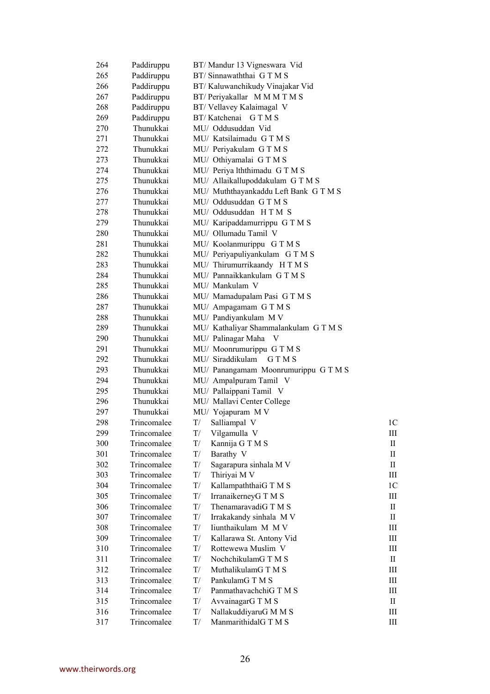| 264 | Paddiruppu  | BT/Mandur 13 Vigneswara Vid                           |                |
|-----|-------------|-------------------------------------------------------|----------------|
| 265 | Paddiruppu  | BT/Sinnawaththai GTMS                                 |                |
| 266 | Paddiruppu  | BT/Kaluwanchikudy Vinajakar Vid                       |                |
| 267 | Paddiruppu  | BT/ Periyakallar MMMTMS                               |                |
| 268 | Paddiruppu  | BT/Vellavey Kalaimagal V                              |                |
| 269 | Paddiruppu  | BT/Katchenai GTMS                                     |                |
| 270 | Thunukkai   | MU/ Oddusuddan Vid                                    |                |
| 271 | Thunukkai   | MU/ Katsilaimadu GTMS                                 |                |
| 272 | Thunukkai   | MU/ Periyakulam G T M S                               |                |
| 273 | Thunukkai   | MU/ Othiyamalai GTMS                                  |                |
| 274 | Thunukkai   | MU/ Periya lththimadu GTMS                            |                |
| 275 | Thunukkai   | MU/ Allaikallupoddakulam GTMS                         |                |
| 276 | Thunukkai   | MU/ Muththayankaddu Left Bank G T M S                 |                |
| 277 | Thunukkai   | MU/ Oddusuddan GTMS                                   |                |
| 278 | Thunukkai   | MU/ Oddusuddan HTM S                                  |                |
| 279 | Thunukkai   | MU/ Karipaddamurrippu G T M S                         |                |
| 280 | Thunukkai   | MU/ Ollumadu Tamil V                                  |                |
| 281 | Thunukkai   |                                                       |                |
|     | Thunukkai   | MU/ Koolanmurippu G T M S                             |                |
| 282 |             | MU/ Periyapuliyankulam GTMS                           |                |
| 283 | Thunukkai   | MU/ Thirumurrikaandy HTMS<br>MU/ Pannaikkankulam GTMS |                |
| 284 | Thunukkai   |                                                       |                |
| 285 | Thunukkai   | MU/ Mankulam V                                        |                |
| 286 | Thunukkai   | MU/ Mamadupalam Pasi G T M S                          |                |
| 287 | Thunukkai   | MU/ Ampagamam G T M S                                 |                |
| 288 | Thunukkai   | MU/ Pandiyankulam M V                                 |                |
| 289 | Thunukkai   | MU/ Kathaliyar Shammalankulam GTMS                    |                |
| 290 | Thunukkai   | MU/ Palinagar Maha<br>V                               |                |
| 291 | Thunukkai   | MU/ Moonrumurippu GTMS                                |                |
| 292 | Thunukkai   | MU/ Siraddikulam<br><b>GTMS</b>                       |                |
| 293 | Thunukkai   | MU/ Panangamam Moonrumurippu GTMS                     |                |
| 294 | Thunukkai   | MU/ Ampalpuram Tamil V                                |                |
| 295 | Thunukkai   | MU/ Pallaippani Tamil V                               |                |
| 296 | Thunukkai   | MU/ Mallavi Center College                            |                |
| 297 | Thunukkai   | MU/ Yojapuram M V                                     |                |
| 298 | Trincomalee | T/<br>Salliampal V                                    | 1 <sup>C</sup> |
| 299 | Trincomalee | Vilgamulla V<br>$\mathrm{T}/$                         | Ш              |
| 300 | Trincomalee | T/<br>Kannija G T M S                                 | П              |
| 301 | Trincomalee | T/<br>Barathy V                                       | П              |
| 302 | Trincomalee | T/<br>Sagarapura sinhala M V                          | П              |
| 303 | Trincomalee | T/<br>Thiriyai M V                                    | Ш              |
| 304 | Trincomalee | T/<br>KallampaththaiG T M S                           | 1 <sup>C</sup> |
| 305 | Trincomalee | T/<br>IrranaikerneyG T M S                            | Ш              |
| 306 | Trincomalee | T/<br>ThenamaravadiG T M S                            | $\mathbf{I}$   |
| 307 | Trincomalee | Irrakakandy sinhala M V<br>T/                         | $\rm{II}$      |
| 308 | Trincomalee | Iiunthaikulam M M V<br>T/                             | Ш              |
| 309 | Trincomalee | Kallarawa St. Antony Vid<br>T/                        | Ш              |
| 310 | Trincomalee | Rottewewa Muslim V<br>T/                              | Ш              |
| 311 | Trincomalee | NochchikulamG T M S<br>T/                             | П              |
| 312 | Trincomalee | MuthalikulamG T M S<br>T/                             | Ш              |
| 313 | Trincomalee | PankulamG T M S<br>T/                                 | Ш              |
| 314 | Trincomalee | PanmathavachchiG T M S<br>T/                          | Ш              |
| 315 | Trincomalee | AvvainagarG T M S<br>T/                               | П              |
| 316 | Trincomalee | T/<br>NallakuddiyaruG M M S                           | Ш              |
| 317 | Trincomalee | T/<br>ManmarithidalG T M S                            | Ш              |
|     |             |                                                       |                |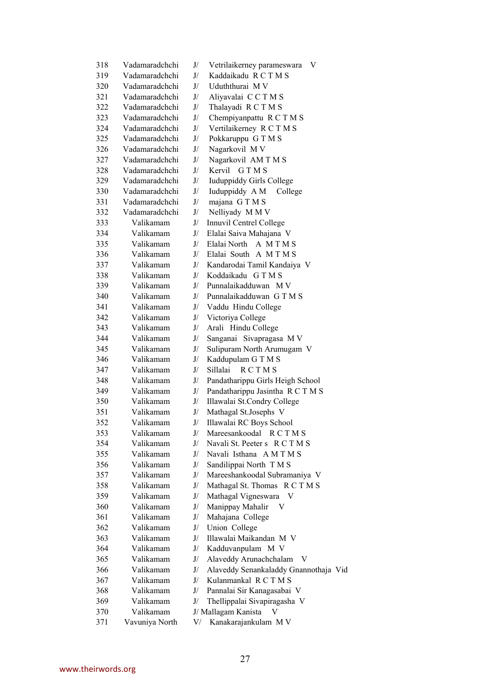| 318 | Vadamaradchchi | J/ | Vetrilaikerney parameswara<br>V       |
|-----|----------------|----|---------------------------------------|
| 319 | Vadamaradchchi | J/ | Kaddaikadu RCTMS                      |
| 320 | Vadamaradchchi | J/ | Uduththurai M V                       |
| 321 | Vadamaradchchi | J/ | Aliyavalai CCTMS                      |
| 322 | Vadamaradchchi | J/ | Thalayadi R C T M S                   |
| 323 | Vadamaradchchi | J/ | Chempiyanpattu R C T M S              |
| 324 | Vadamaradchchi | J/ | Vertilaikerney R C T M S              |
| 325 | Vadamaradchchi | J/ | Pokkaruppu GTMS                       |
| 326 | Vadamaradchchi | J/ | Nagarkovil MV                         |
| 327 | Vadamaradchchi | J/ | Nagarkovil AM T M S                   |
| 328 | Vadamaradchchi | J/ | Kervil<br><b>GTMS</b>                 |
| 329 | Vadamaradchchi | J/ | <b>Iuduppiddy Girls College</b>       |
| 330 | Vadamaradchchi | J/ | Iuduppiddy A M<br>College             |
| 331 | Vadamaradchchi | J/ | majana GTMS                           |
| 332 | Vadamaradchchi | J/ | Nelliyady MMV                         |
| 333 | Valikamam      | J/ | Innuvil Centrel College               |
| 334 | Valikamam      | J/ | Elalai Saiva Mahajana V               |
| 335 | Valikamam      | J/ | Elalai North A M T M S                |
| 336 | Valikamam      | J/ | Elalai South A M T M S                |
| 337 | Valikamam      | J/ | Kandarodai Tamil Kandaiya V           |
| 338 | Valikamam      | J/ | Koddaikadu GTMS                       |
| 339 | Valikamam      | J/ | Punnalaikadduwan M V                  |
| 340 | Valikamam      | J/ | Punnalaikadduwan GTMS                 |
| 341 | Valikamam      | J/ | Vaddu Hindu College                   |
| 342 | Valikamam      | J/ | Victoriya College                     |
| 343 | Valikamam      | J/ | Arali Hindu College                   |
| 344 | Valikamam      | J/ | Sanganai Sivapragasa M V              |
| 345 | Valikamam      | J/ | Sulipuram North Arumugam V            |
| 346 | Valikamam      | J/ | Kaddupulam G T M S                    |
| 347 | Valikamam      | J/ | <b>RCTMS</b><br>Sillalai              |
| 348 | Valikamam      | J/ | Pandatharippu Girls Heigh School      |
| 349 | Valikamam      | J/ | Pandatharippu Jasintha R C T M S      |
| 350 | Valikamam      | J/ | Illawalai St.Condry College           |
| 351 | Valikamam      | J/ | Mathagal St.Josephs V                 |
| 352 | Valikamam      | J/ | Illawalai RC Boys School              |
| 353 | Valikamam      | J/ | Mareesankoodal<br>R C T M S           |
| 354 | Valikamam      | J/ | Navali St. Peeter s R C T M S         |
| 355 | Valikamam      | J/ | Navali Isthana AMTMS                  |
| 356 | Valikamam      | J/ | Sandilippai North T M S               |
| 357 | Valikamam      | J/ | Mareeshankoodal Subramaniya V         |
| 358 | Valikamam      | J/ | Mathagal St. Thomas R C T M S         |
| 359 | Valikamam      | J/ | Mathagal Vigneswara<br>V              |
| 360 | Valikamam      | J/ | Manippay Mahalir                      |
| 361 | Valikamam      | J/ | Mahajana College                      |
| 362 | Valikamam      | J/ | Union College                         |
| 363 | Valikamam      | J/ | Illawalai Maikandan M V               |
| 364 | Valikamam      | J/ | Kadduvanpulam M V                     |
| 365 | Valikamam      | J/ | Alaveddy Arunachchalam V              |
| 366 | Valikamam      | J/ | Alaveddy Senankaladdy Gnannothaja Vid |
| 367 | Valikamam      | J/ | Kulanmankal RCTMS                     |
| 368 | Valikamam      | J/ | Pannalai Sir Kanagasabai V            |
| 369 | Valikamam      | J/ | Thellippalai Sivapiragasha V          |
| 370 | Valikamam      |    | J/ Mallagam Kanista<br>V              |
| 371 | Vavuniya North | V/ | Kanakarajankulam M V                  |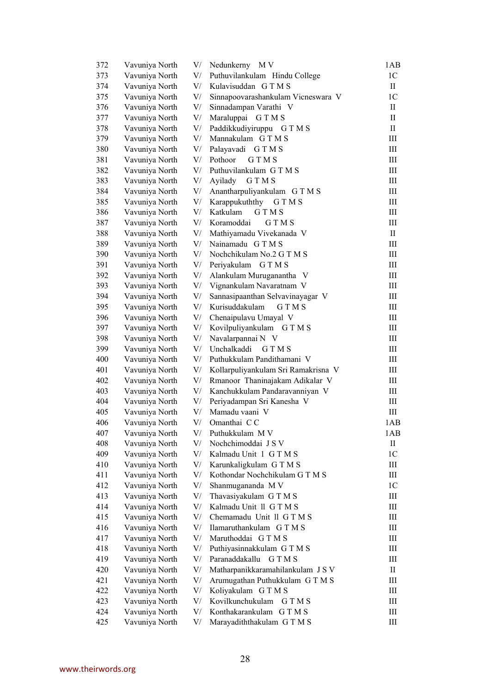| 372 | Vavuniya North                   | V/       | Nedunkerny<br>M V                   | 1AB                              |
|-----|----------------------------------|----------|-------------------------------------|----------------------------------|
| 373 | Vavuniya North                   | V/       | Puthuvilankulam Hindu College       | 1 <sup>C</sup>                   |
| 374 | Vavuniya North                   | V/       | Kulavisuddan GTMS                   | $\mathbf{I}$                     |
| 375 | Vavuniya North                   | V/       | Sinnapoovarashankulam Vicneswara V  | 1 <sub>C</sub>                   |
| 376 | Vavuniya North                   | V/       | Sinnadampan Varathi V               | П                                |
| 377 | Vavuniya North                   | V/       | Maraluppai GTMS                     | $\mathbf{I}$                     |
| 378 | Vavuniya North                   | V/       | Paddikkudiyiruppu GTMS              | $\mathbf{I}$                     |
| 379 | Vavuniya North                   | V/       | Mannakulam GTMS                     | Ш                                |
| 380 | Vavuniya North                   | V/       | Palayavadi GTMS                     | Ш                                |
| 381 | Vavuniya North                   | V/       | Pothoor<br><b>GTMS</b>              | Ш                                |
| 382 | Vavuniya North                   | V/       | Puthuvilankulam GTMS                | Ш                                |
| 383 | Vavuniya North                   | V/       | <b>GTMS</b><br>Ayilady              | Ш                                |
| 384 | Vavuniya North                   | V/       | Anantharpuliyankulam GTMS           | Ш                                |
| 385 | Vavuniya North                   | V/       | Karappukuththy<br><b>GTMS</b>       | $\mathop{\mathrm{III}}\nolimits$ |
| 386 | Vavuniya North                   | V/       | Katkulam<br><b>GTMS</b>             | Ш                                |
| 387 | Vavuniya North                   | V/       | Koramoddai<br><b>GTMS</b>           | Ш                                |
| 388 | Vavuniya North                   | V/       | Mathiyamadu Vivekanada V            | П                                |
| 389 | Vavuniya North                   | V/       | Nainamadu GTMS                      | Ш                                |
| 390 | Vavuniya North                   | V/       | Nochchikulam No.2 G T M S           | Ш                                |
| 391 | Vavuniya North                   | V/       | Periyakulam G T M S                 | $\rm III$                        |
| 392 | Vavuniya North                   | V/       | Alankulam Muruganantha V            | $\rm III$                        |
| 393 | Vavuniya North                   | V/       | Vignankulam Navaratnam V            | $\mathop{\mathrm{III}}\nolimits$ |
| 394 | Vavuniya North                   | V/       | Sannasipaanthan Selvavinayagar V    | $\rm III$                        |
| 395 | Vavuniya North                   | V/       | Kurisuddakulam<br><b>GTMS</b>       | $\rm III$                        |
| 396 | Vavuniya North                   | V/       | Chenaipulavu Umayal V               | Ш                                |
| 397 | Vavuniya North                   | V/       | Kovilpuliyankulam GTMS              | Ш                                |
| 398 | Vavuniya North                   | V/       | Navalarpannai N V                   | Ш                                |
| 399 | Vavuniya North                   | V/       | Unchalkaddi<br><b>GTMS</b>          | Ш                                |
| 400 | Vavuniya North                   | V/       | Puthukkulam Pandithamani V          | Ш                                |
| 401 | Vavuniya North                   | V/       | Kollarpuliyankulam Sri Ramakrisna V | III                              |
| 402 | Vavuniya North                   | V/       | Rmanoor Thaninajakam Adikalar V     | Ш                                |
| 403 | Vavuniya North                   | V/       | Kanchukkulam Pandaravanniyan V      | Ш                                |
| 404 | Vavuniya North                   | V/       | Periyadampan Sri Kanesha V          | Ш                                |
| 405 | Vavuniya North                   | V/       | Mamadu vaani V                      | Ш                                |
| 406 | Vavuniya North                   | V/       | Omanthai CC                         | 1AB                              |
| 407 |                                  | $\rm V/$ | Puthukkulam M V                     | 1AB                              |
| 408 | Vavuniya North<br>Vavuniya North | $\rm V/$ | Nochchimoddai J S V                 | П                                |
| 409 | Vavuniya North                   | V/       | Kalmadu Unit 1 GTMS                 | 1 <sup>C</sup>                   |
| 410 | Vavuniya North                   | V/       | Karunkaligkulam GTMS                | Ш                                |
| 411 | Vavuniya North                   | V/       | Kothondar Nochchikulam GTMS         | Ш                                |
| 412 | Vavuniya North                   | V/       | Shanmugananda M V                   | 1 <sup>C</sup>                   |
| 413 | Vavuniya North                   | V/       | Thavasiyakulam GTMS                 | $\rm III$                        |
| 414 | Vavuniya North                   | V/       | Kalmadu Unit 11 G T M S             | Ш                                |
| 415 | Vavuniya North                   |          | Chemamadu Unit II G T M S           | Ш                                |
|     |                                  | V/       | Ilamaruthankulam GTMS               | III                              |
| 416 | Vavuniya North                   | V/       |                                     |                                  |
| 417 | Vavuniya North                   | V/       | Maruthoddai GTMS                    | Ш                                |
| 418 | Vavuniya North                   | V/       | Puthiyasinnakkulam GTMS             | Ш                                |
| 419 | Vavuniya North                   | V/       | Paranaddakallu GTMS                 | Ш                                |
| 420 | Vavuniya North                   | V/       | Matharpanikkaramahilankulam JSV     | П                                |
| 421 | Vavuniya North                   | V/       | Arumugathan Puthukkulam GTMS        | Ш                                |
| 422 | Vavuniya North                   | V/       | Koliyakulam GTMS                    | Ш                                |
| 423 | Vavuniya North                   | V/       | Kovilkunchukulam<br><b>GTMS</b>     | $\rm III$                        |
| 424 | Vavuniya North                   | V/       | Konthakarankulam GTMS               | Ш                                |
| 425 | Vavuniya North                   | V/       | Marayadiththakulam GTMS             | Ш                                |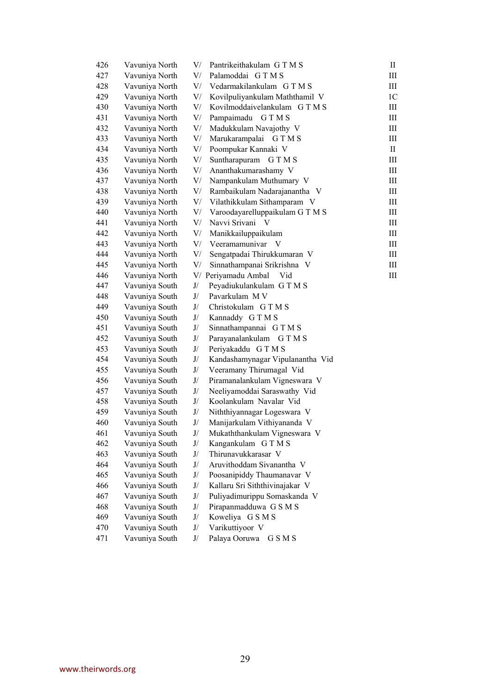| 426 | Vavuniya North | V/                                                                                                                                                                                                                                                                                                                                                                                                                                                                            | Pantrikeithakulam GTMS           | $\rm{II}$      |
|-----|----------------|-------------------------------------------------------------------------------------------------------------------------------------------------------------------------------------------------------------------------------------------------------------------------------------------------------------------------------------------------------------------------------------------------------------------------------------------------------------------------------|----------------------------------|----------------|
| 427 | Vavuniya North | V/                                                                                                                                                                                                                                                                                                                                                                                                                                                                            | Palamoddai GTMS                  | Ш              |
| 428 | Vavuniya North | V/                                                                                                                                                                                                                                                                                                                                                                                                                                                                            | Vedarmakilankulam GTMS           | Ш              |
| 429 | Vavuniya North | V/                                                                                                                                                                                                                                                                                                                                                                                                                                                                            | Kovilpuliyankulam Maththamil V   | 1 <sup>C</sup> |
| 430 | Vavuniya North | V/                                                                                                                                                                                                                                                                                                                                                                                                                                                                            | Kovilmoddaivelankulam GTMS       | Ш              |
| 431 | Vavuniya North | V/                                                                                                                                                                                                                                                                                                                                                                                                                                                                            | Pampaimadu GTMS                  | Ш              |
| 432 | Vavuniya North | V/                                                                                                                                                                                                                                                                                                                                                                                                                                                                            | Madukkulam Navajothy V           | Ш              |
| 433 | Vavuniya North | V/                                                                                                                                                                                                                                                                                                                                                                                                                                                                            | Marukarampalai<br><b>GTMS</b>    | Ш              |
| 434 | Vavuniya North | V/                                                                                                                                                                                                                                                                                                                                                                                                                                                                            | Poompukar Kannaki V              | П              |
| 435 | Vavuniya North | V/                                                                                                                                                                                                                                                                                                                                                                                                                                                                            | Suntharapuram<br><b>GTMS</b>     | Ш              |
| 436 | Vavuniya North | V/                                                                                                                                                                                                                                                                                                                                                                                                                                                                            | Ananthakumarashamy V             | Ш              |
| 437 | Vavuniya North | V/                                                                                                                                                                                                                                                                                                                                                                                                                                                                            | Nampankulam Muthumary V          | Ш              |
| 438 | Vavuniya North | V/                                                                                                                                                                                                                                                                                                                                                                                                                                                                            | Rambaikulam Nadarajanantha V     | Ш              |
| 439 | Vavuniya North | V/                                                                                                                                                                                                                                                                                                                                                                                                                                                                            | Vilathikkulam Sithamparam V      | Ш              |
| 440 | Vavuniya North | V/                                                                                                                                                                                                                                                                                                                                                                                                                                                                            | Varoodayarelluppaikulam GTMS     | Ш              |
| 441 | Vavuniya North | V/                                                                                                                                                                                                                                                                                                                                                                                                                                                                            | Navvi Srivani<br>$\mathbf{V}$    | Ш              |
| 442 | Vavuniya North | V/                                                                                                                                                                                                                                                                                                                                                                                                                                                                            | Manikkailuppaikulam              | Ш              |
| 443 | Vavuniya North | V/                                                                                                                                                                                                                                                                                                                                                                                                                                                                            | Veeramamunivar V                 | Ш              |
| 444 | Vavuniya North | V/                                                                                                                                                                                                                                                                                                                                                                                                                                                                            | Sengatpadai Thirukkumaran V      | Ш              |
| 445 | Vavuniya North | V/                                                                                                                                                                                                                                                                                                                                                                                                                                                                            | Sinnathampanai Srikrishna V      | Ш              |
| 446 | Vavuniya North |                                                                                                                                                                                                                                                                                                                                                                                                                                                                               | V/ Periyamadu Ambal<br>Vid       | Ш              |
| 447 | Vavuniya South | J/                                                                                                                                                                                                                                                                                                                                                                                                                                                                            | Peyadiukulankulam GTMS           |                |
| 448 | Vavuniya South | J/                                                                                                                                                                                                                                                                                                                                                                                                                                                                            | Pavarkulam M V                   |                |
| 449 | Vavuniya South | J/                                                                                                                                                                                                                                                                                                                                                                                                                                                                            | Christokulam G T M S             |                |
| 450 | Vavuniya South | J/                                                                                                                                                                                                                                                                                                                                                                                                                                                                            | Kannaddy GTMS                    |                |
| 451 | Vavuniya South | J/                                                                                                                                                                                                                                                                                                                                                                                                                                                                            | Sinnathampannai GTMS             |                |
| 452 | Vavuniya South | J/                                                                                                                                                                                                                                                                                                                                                                                                                                                                            | Parayanalankulam GTMS            |                |
| 453 | Vavuniya South | J/                                                                                                                                                                                                                                                                                                                                                                                                                                                                            | Periyakaddu GTMS                 |                |
| 454 | Vavuniya South | J/                                                                                                                                                                                                                                                                                                                                                                                                                                                                            | Kandashamynagar Vipulanantha Vid |                |
| 455 | Vavuniya South | J/                                                                                                                                                                                                                                                                                                                                                                                                                                                                            | Veeramany Thirumagal Vid         |                |
| 456 | Vavuniya South | J/                                                                                                                                                                                                                                                                                                                                                                                                                                                                            | Piramanalankulam Vigneswara V    |                |
| 457 | Vavuniya South | J/                                                                                                                                                                                                                                                                                                                                                                                                                                                                            | Neeliyamoddai Saraswathy Vid     |                |
| 458 | Vavuniya South | J/                                                                                                                                                                                                                                                                                                                                                                                                                                                                            | Koolankulam Navalar Vid          |                |
| 459 | Vavuniya South | J/                                                                                                                                                                                                                                                                                                                                                                                                                                                                            | Niththiyannagar Logeswara V      |                |
| 460 | Vavuniya South | J/                                                                                                                                                                                                                                                                                                                                                                                                                                                                            | Manijarkulam Vithiyananda V      |                |
| 461 | Vavuniya South | $\mathrm{J}/% \mathcal{S}=\mathrm{J}/% \mathcal{S}=\mathrm{J}/% \mathcal{S}=\mathrm{J}/% \mathcal{S}=\mathrm{J}/% \mathcal{S}=\mathrm{J}/% \mathcal{S}=\mathrm{J}/% \mathcal{S}=\mathrm{J}/% \mathcal{S}=\mathrm{J}/% \mathcal{S}=\mathrm{J}/% \mathcal{S}=\mathrm{J}/% \mathcal{S}=\mathrm{J}/% \mathcal{S}=\mathrm{J}/% \mathcal{S}=\mathrm{J}/% \mathcal{S}=\mathrm{J}/% \mathcal{S}=\mathrm{J}/% \mathcal{S}=\mathrm{J}/% \mathcal{S}=\mathrm{J}/% \mathcal{S}=\mathrm{J$ | Mukaththankulam Vigneswara V     |                |
| 462 | Vavuniya South | J/                                                                                                                                                                                                                                                                                                                                                                                                                                                                            | Kangankulam GTMS                 |                |
| 463 | Vavuniya South | J/                                                                                                                                                                                                                                                                                                                                                                                                                                                                            | Thirunavukkarasar V              |                |
| 464 | Vavuniya South | J/                                                                                                                                                                                                                                                                                                                                                                                                                                                                            | Aruvithoddam Sivanantha V        |                |
| 465 | Vavuniya South | J/                                                                                                                                                                                                                                                                                                                                                                                                                                                                            | Poosanipiddy Thaumanavar V       |                |
| 466 | Vavuniya South | J/                                                                                                                                                                                                                                                                                                                                                                                                                                                                            | Kallaru Sri Siththivinajakar V   |                |
| 467 | Vavuniya South | J/                                                                                                                                                                                                                                                                                                                                                                                                                                                                            | Puliyadimurippu Somaskanda V     |                |
| 468 | Vavuniya South | J/                                                                                                                                                                                                                                                                                                                                                                                                                                                                            | Pirapanmadduwa G S M S           |                |
| 469 | Vavuniya South | J/                                                                                                                                                                                                                                                                                                                                                                                                                                                                            | Koweliya GSMS                    |                |
| 470 | Vavuniya South | J/                                                                                                                                                                                                                                                                                                                                                                                                                                                                            | Varikuttiyoor V                  |                |
| 471 | Vavuniya South | J/                                                                                                                                                                                                                                                                                                                                                                                                                                                                            | Palaya Ooruwa<br>G S M S         |                |

www.theirwords.org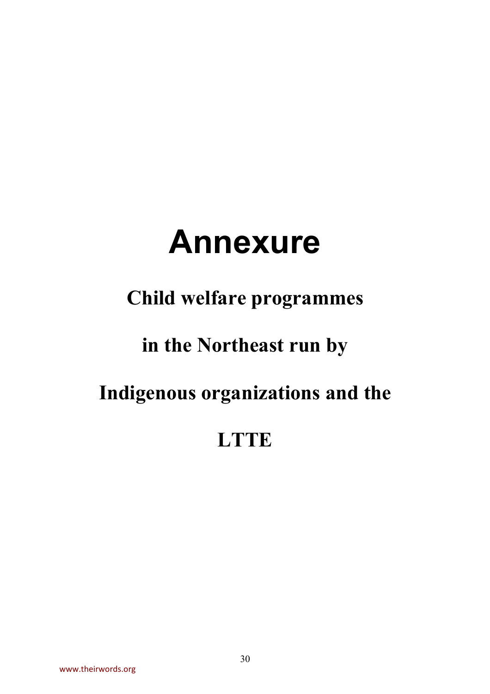# **Annexure**

### **Child welfare programmes**

### **in the Northeast run by**

### **Indigenous organizations and the**

### **LTTE**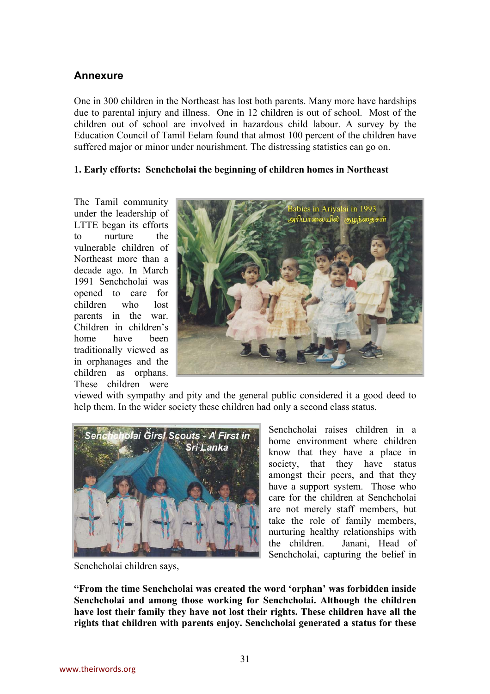#### **Annexure**

One in 300 children in the Northeast has lost both parents. Many more have hardships due to parental injury and illness. One in 12 children is out of school. Most of the children out of school are involved in hazardous child labour. A survey by the Education Council of Tamil Eelam found that almost 100 percent of the children have suffered major or minor under nourishment. The distressing statistics can go on.

#### **1. Early efforts: Senchcholai the beginning of children homes in Northeast**

The Tamil community under the leadership of LTTE began its efforts to nurture the vulnerable children of Northeast more than a decade ago. In March 1991 Senchcholai was opened to care for children who lost parents in the war. Children in children's home have been traditionally viewed as in orphanages and the children as orphans. These children were



viewed with sympathy and pity and the general public considered it a good deed to help them. In the wider society these children had only a second class status.



Senchcholai children says,

Senchcholai raises children in a home environment where children know that they have a place in society, that they have status amongst their peers, and that they have a support system. Those who care for the children at Senchcholai are not merely staff members, but take the role of family members, nurturing healthy relationships with the children. Janani, Head of Senchcholai, capturing the belief in

**"From the time Senchcholai was created the word 'orphan' was forbidden inside Senchcholai and among those working for Senchcholai. Although the children have lost their family they have not lost their rights. These children have all the rights that children with parents enjoy. Senchcholai generated a status for these**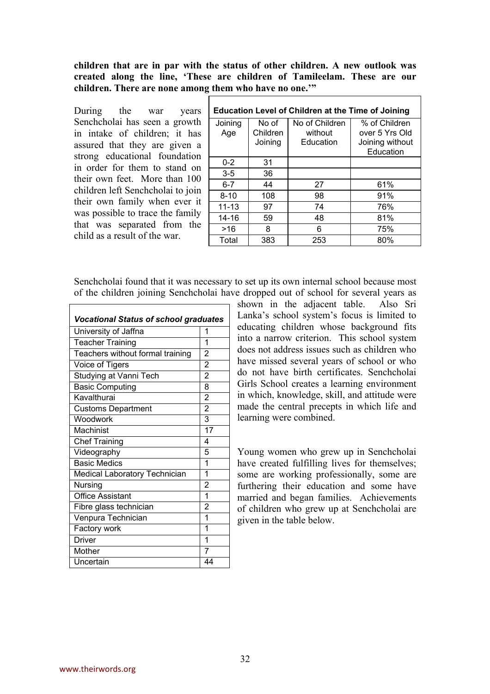**children that are in par with the status of other children. A new outlook was created along the line, 'These are children of Tamileelam. These are our children. There are none among them who have no one.'"** 

During the war years Senchcholai has seen a growth in intake of children; it has assured that they are given a strong educational foundation in order for them to stand on their own feet. More than 100 children left Senchcholai to join their own family when ever it was possible to trace the family that was separated from the child as a result of the war.

| <b>Education Level of Children at the Time of Joining</b> |          |                |                 |  |  |  |  |
|-----------------------------------------------------------|----------|----------------|-----------------|--|--|--|--|
| Joining                                                   | No of    | No of Children | % of Children   |  |  |  |  |
| Age                                                       | Children | without        | over 5 Yrs Old  |  |  |  |  |
|                                                           | Joining  | Education      | Joining without |  |  |  |  |
|                                                           |          |                | Education       |  |  |  |  |
| $0 - 2$                                                   | 31       |                |                 |  |  |  |  |
| $3 - 5$                                                   | 36       |                |                 |  |  |  |  |
| $6 - 7$                                                   | 44       | 27             | 61%             |  |  |  |  |
| $8 - 10$                                                  | 108      | 98             | 91%             |  |  |  |  |
| $11 - 13$                                                 | 97       | 74             | 76%             |  |  |  |  |
| 14-16                                                     | 59       | 48             | 81%             |  |  |  |  |
| >16                                                       | 8        | 6              | 75%             |  |  |  |  |
| Total                                                     | 383      | 253            | 80%             |  |  |  |  |

Senchcholai found that it was necessary to set up its own internal school because most of the children joining Senchcholai have dropped out of school for several years as

| <b>Vocational Status of school graduates</b> |                |  |  |  |  |  |
|----------------------------------------------|----------------|--|--|--|--|--|
| University of Jaffna                         | 1              |  |  |  |  |  |
| <b>Teacher Training</b>                      | 1              |  |  |  |  |  |
| Teachers without formal training             | $\overline{2}$ |  |  |  |  |  |
| Voice of Tigers                              | 2              |  |  |  |  |  |
| Studying at Vanni Tech                       | $\overline{2}$ |  |  |  |  |  |
| <b>Basic Computing</b>                       | 8              |  |  |  |  |  |
| Kavalthurai                                  | $\overline{2}$ |  |  |  |  |  |
| <b>Customs Department</b>                    | $\overline{2}$ |  |  |  |  |  |
| Woodwork                                     | 3              |  |  |  |  |  |
| Machinist                                    | 17             |  |  |  |  |  |
| <b>Chef Training</b>                         | 4              |  |  |  |  |  |
| Videography                                  | 5              |  |  |  |  |  |
| <b>Basic Medics</b>                          | 1              |  |  |  |  |  |
| Medical Laboratory Technician                | 1              |  |  |  |  |  |
| Nursing                                      | 2              |  |  |  |  |  |
| <b>Office Assistant</b>                      | 1              |  |  |  |  |  |
| Fibre glass technician                       | 2              |  |  |  |  |  |
| Venpura Technician                           | 1              |  |  |  |  |  |
| Factory work                                 | 1              |  |  |  |  |  |
| <b>Driver</b>                                | 1              |  |  |  |  |  |
| Mother                                       | 7              |  |  |  |  |  |
| Uncertain                                    | 44             |  |  |  |  |  |

shown in the adjacent table. Also Sri Lanka's school system's focus is limited to educating children whose background fits into a narrow criterion. This school system does not address issues such as children who have missed several years of school or who do not have birth certificates. Senchcholai Girls School creates a learning environment in which, knowledge, skill, and attitude were made the central precepts in which life and learning were combined.

Young women who grew up in Senchcholai have created fulfilling lives for themselves; some are working professionally, some are furthering their education and some have married and began families. Achievements of children who grew up at Senchcholai are given in the table below.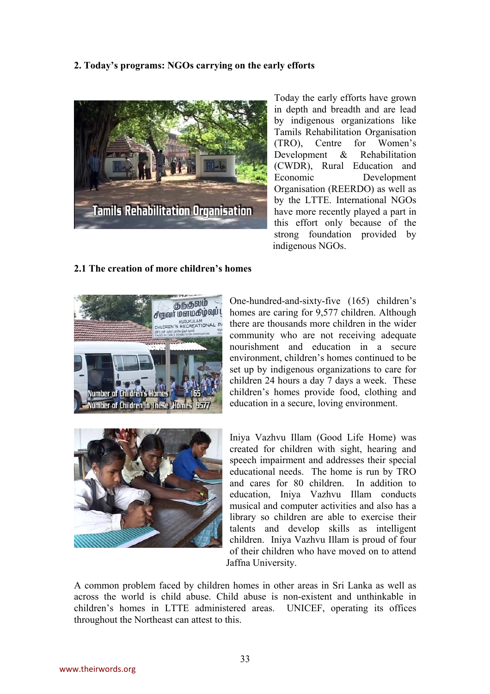#### **2. Today's programs: NGOs carrying on the early efforts**



Today the early efforts have grown in depth and breadth and are lead by indigenous organizations like Tamils Rehabilitation Organisation (TRO), Centre for Women's Development & Rehabilitation (CWDR), Rural Education and Economic Development Organisation (REERDO) as well as by the LTTE. International NGOs have more recently played a part in this effort only because of the strong foundation provided by indigenous NGOs.

#### **2.1 The creation of more children's homes**



One-hundred-and-sixty-five (165) children's homes are caring for 9,577 children. Although there are thousands more children in the wider community who are not receiving adequate nourishment and education in a secure environment, children's homes continued to be set up by indigenous organizations to care for children 24 hours a day 7 days a week. These children's homes provide food, clothing and education in a secure, loving environment.



Iniya Vazhvu Illam (Good Life Home) was created for children with sight, hearing and speech impairment and addresses their special educational needs. The home is run by TRO and cares for 80 children. In addition to education, Iniya Vazhvu Illam conducts musical and computer activities and also has a library so children are able to exercise their talents and develop skills as intelligent children. Iniya Vazhvu Illam is proud of four of their children who have moved on to attend Jaffna University.

A common problem faced by children homes in other areas in Sri Lanka as well as across the world is child abuse. Child abuse is non-existent and unthinkable in children's homes in LTTE administered areas. UNICEF, operating its offices throughout the Northeast can attest to this.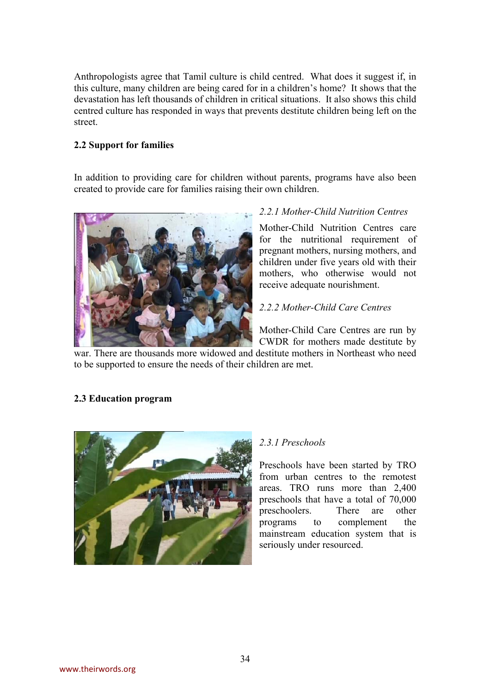Anthropologists agree that Tamil culture is child centred. What does it suggest if, in this culture, many children are being cared for in a children's home? It shows that the devastation has left thousands of children in critical situations. It also shows this child centred culture has responded in ways that prevents destitute children being left on the street.

#### **2.2 Support for families**

In addition to providing care for children without parents, programs have also been created to provide care for families raising their own children.



#### *2.2.1 Mother-Child Nutrition Centres*

Mother-Child Nutrition Centres care for the nutritional requirement of pregnant mothers, nursing mothers, and children under five years old with their mothers, who otherwise would not receive adequate nourishment.

#### *2.2.2 Mother-Child Care Centres*

Mother-Child Care Centres are run by CWDR for mothers made destitute by

war. There are thousands more widowed and destitute mothers in Northeast who need to be supported to ensure the needs of their children are met.

#### **2.3 Education program**



#### *2.3.1 Preschools*

Preschools have been started by TRO from urban centres to the remotest areas. TRO runs more than 2,400 preschools that have a total of 70,000 preschoolers. There are other programs to complement the mainstream education system that is seriously under resourced.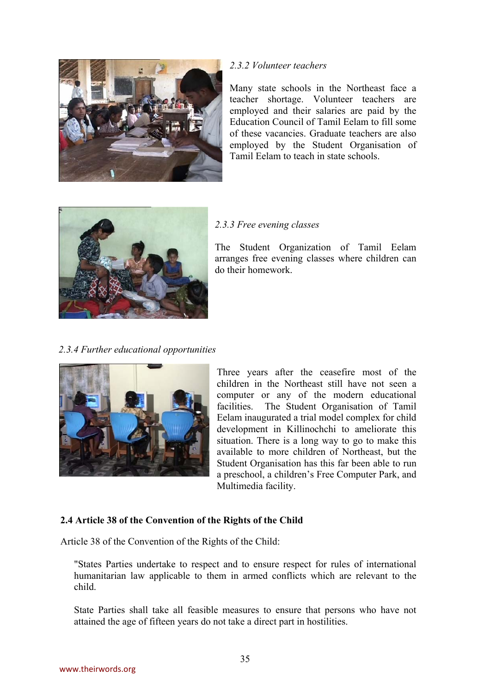

#### *2.3.2 Volunteer teachers*

Many state schools in the Northeast face a teacher shortage. Volunteer teachers are employed and their salaries are paid by the Education Council of Tamil Eelam to fill some of these vacancies. Graduate teachers are also employed by the Student Organisation of Tamil Eelam to teach in state schools.



#### *2.3.3 Free evening classes*

The Student Organization of Tamil Eelam arranges free evening classes where children can do their homework.

*2.3.4 Further educational opportunities* 



Three years after the ceasefire most of the children in the Northeast still have not seen a computer or any of the modern educational facilities. The Student Organisation of Tamil Eelam inaugurated a trial model complex for child development in Killinochchi to ameliorate this situation. There is a long way to go to make this available to more children of Northeast, but the Student Organisation has this far been able to run a preschool, a children's Free Computer Park, and Multimedia facility.

#### **2.4 Article 38 of the Convention of the Rights of the Child**

Article 38 of the Convention of the Rights of the Child:

"States Parties undertake to respect and to ensure respect for rules of international humanitarian law applicable to them in armed conflicts which are relevant to the child.

State Parties shall take all feasible measures to ensure that persons who have not attained the age of fifteen years do not take a direct part in hostilities.